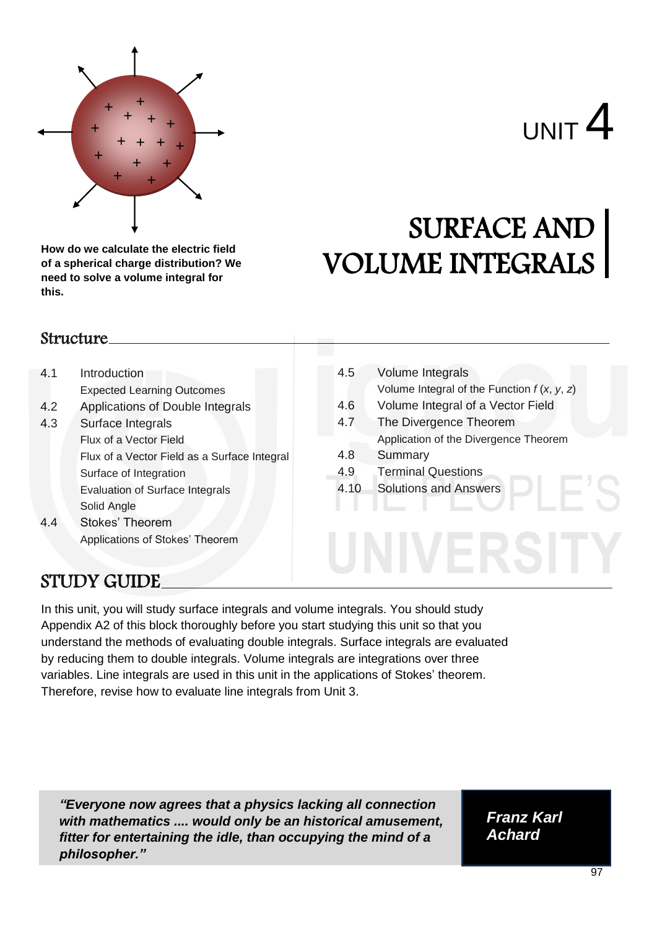

**How do we calculate the electric field of a spherical charge distribution? We need to solve a volume integral for this.**

# SURFACE AND VOLUME INTEGRALS

#### Structure

- 4.1 Introduction Expected Learning Outcomes
- 4.2 Applications of Double Integrals
- 4.3 Surface Integrals Flux of a Vector Field Flux of a Vector Field as a Surface Integral Surface of Integration Evaluation of Surface Integrals Solid Angle 4.4 Stokes' Theorem
	- Applications of Stokes' Theorem
- 4.5 Volume Integrals Volume Integral of the Function *f* (*x*, *y*, *z*)
- 4.6 Volume Integral of a Vector Field
- 4.7 The Divergence Theorem Application of the Divergence Theorem
- 4.8 Summary
- 4.9 Terminal Questions
- 4.10 Solutions and Answers

# STUDY GUIDE

In this unit, you will study surface integrals and volume integrals. You should study Appendix A2 of this block thoroughly before you start studying this unit so that you understand the methods of evaluating double integrals. Surface integrals are evaluated by reducing them to double integrals. Volume integrals are integrations over three variables. Line integrals are used in this unit in the applications of Stokes' theorem. Therefore, revise how to evaluate line integrals from Unit 3.

*"Everyone now agrees that a physics lacking all connection with mathematics .... would only be an historical amusement, fitter for entertaining the idle, than occupying the mind of a philosopher."*

*Franz Karl Achard*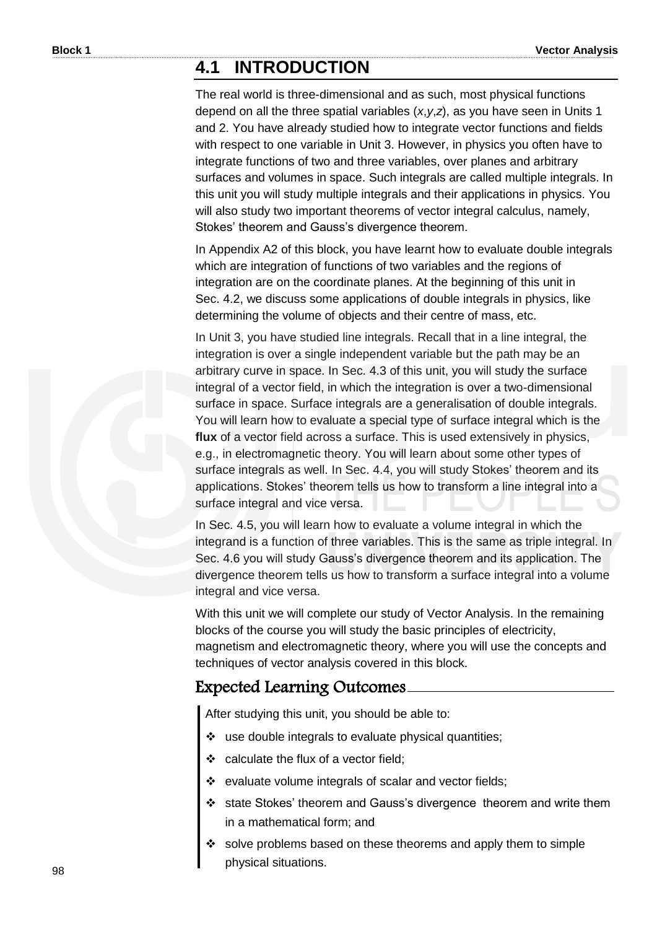### **4.1 INTRODUCTION**

The real world is three-dimensional and as such, most physical functions depend on all the three spatial variables (*x*,*y*,*z*), as you have seen in Units 1 and 2. You have already studied how to integrate vector functions and fields with respect to one variable in Unit 3. However, in physics you often have to integrate functions of two and three variables, over planes and arbitrary surfaces and volumes in space. Such integrals are called multiple integrals. In this unit you will study multiple integrals and their applications in physics. You will also study two important theorems of vector integral calculus, namely, Stokes' theorem and Gauss's divergence theorem.

In Appendix A2 of this block, you have learnt how to evaluate double integrals which are integration of functions of two variables and the regions of integration are on the coordinate planes. At the beginning of this unit in Sec. 4.2, we discuss some applications of double integrals in physics, like determining the volume of objects and their centre of mass, etc.

In Unit 3, you have studied line integrals. Recall that in a line integral, the integration is over a single independent variable but the path may be an arbitrary curve in space. In Sec. 4.3 of this unit, you will study the surface integral of a vector field, in which the integration is over a two-dimensional surface in space. Surface integrals are a generalisation of double integrals. You will learn how to evaluate a special type of surface integral which is the **flux** of a vector field across a surface. This is used extensively in physics, e.g., in electromagnetic theory. You will learn about some other types of surface integrals as well. In Sec. 4.4, you will study Stokes' theorem and its applications. Stokes' theorem tells us how to transform a line integral into a surface integral and vice versa.

In Sec. 4.5, you will learn how to evaluate a volume integral in which the integrand is a function of three variables. This is the same as triple integral. In Sec. 4.6 you will study Gauss's divergence theorem and its application. The divergence theorem tells us how to transform a surface integral into a volume integral and vice versa.

With this unit we will complete our study of Vector Analysis. In the remaining blocks of the course you will study the basic principles of electricity, magnetism and electromagnetic theory, where you will use the concepts and techniques of vector analysis covered in this block.

#### Expected Learning Outcomes

After studying this unit, you should be able to:

- \* use double integrals to evaluate physical quantities;
- \* calculate the flux of a vector field;
- \* evaluate volume integrals of scalar and vector fields;
- state Stokes' theorem and Gauss's divergence theorem and write them in a mathematical form; and
- solve problems based on these theorems and apply them to simple physical situations.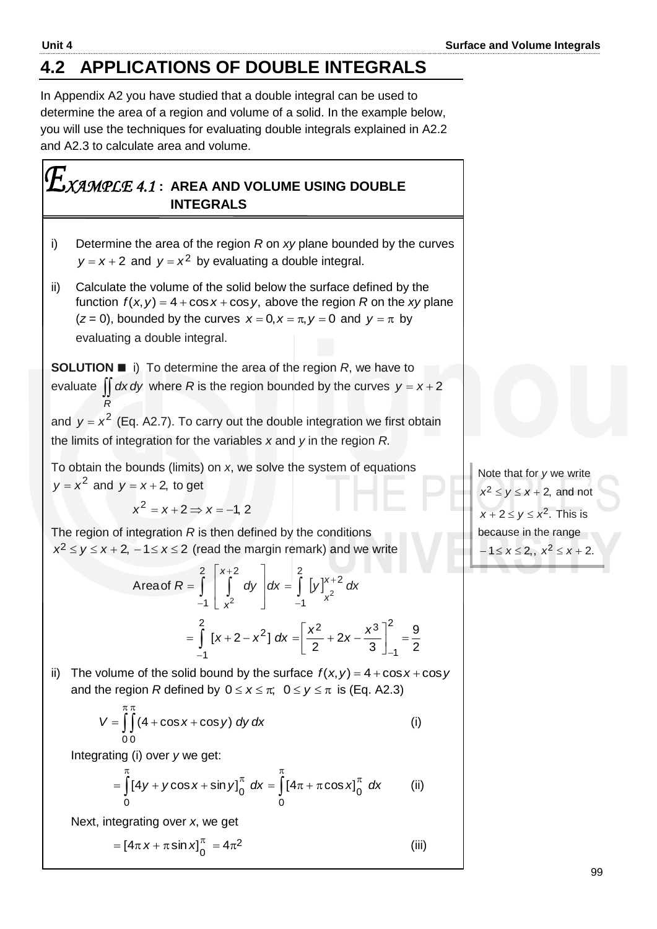# **4.2 APPLICATIONS OF DOUBLE INTEGRALS**

In Appendix A2 you have studied that a double integral can be used to determine the area of a region and volume of a solid. In the example below, you will use the techniques for evaluating double integrals explained in A2.2 and A2.3 to calculate area and volume.

### *XAMPLE 4.1* **: AREA AND VOLUME USING DOUBLE INTEGRALS**

- i) Determine the area of the region *R* on *xy* plane bounded by the curves  $y = x + 2$  and  $y = x^2$  by evaluating a double integral.
- ii) Calculate the volume of the solid below the surface defined by the function  $f(x, y) = 4 + \cos x + \cos y$ , above the region *R* on the *xy* plane  $(z = 0)$ , bounded by the curves  $x = 0$ ,  $x = \pi$ ,  $y = 0$  and  $y = \pi$  by evaluating a double integral.

**SOLUTION ■** i) To determine the area of the region *R*, we have to evaluate  $\iint dx dy$  where R is the region bounded by the curves  $y = x + 2$ *R* and  $y = x^2$  (Eq. A2.7). To carry out the double integration we first obtain the limits of integration for the variables *x* and *y* in the region *R.* 

To obtain the bounds (limits) on *x*, we solve the system of equations  $y = x^2$  and  $y = x + 2$ , to get

$$
x^2 = x + 2 \Longrightarrow x = -1, 2
$$

The region of integration *R* is then defined by the conditions  $x^2 \le y \le x + 2$ ,  $-1 \le x \le 2$  (read the margin remark) and we write

Area of 
$$
R = \int_{-1}^{2} \left[ \int_{x^2}^{x+2} dy \right] dx = \int_{-1}^{2} [y]_{x^2}^{x+2} dx
$$
  

$$
= \int_{-1}^{2} [x+2-x^2] dx = \left[ \frac{x^2}{2} + 2x - \frac{x^3}{3} \right]_{-1}^{2} = \frac{9}{2}
$$

ii) The volume of the solid bound by the surface  $f(x, y) = 4 + \cos x + \cos y$ and the region *R* defined by  $0 \le x \le \pi$ ;  $0 \le y \le \pi$  is (Eq. A2.3)

$$
V = \int_{0}^{\pi} \int_{0}^{\pi} (4 + \cos x + \cos y) \, dy \, dx \tag{i}
$$

Integrating (i) over *y* we get:

$$
= \int_{0}^{\pi} [4y + y \cos x + \sin y]_{0}^{\pi} dx = \int_{0}^{\pi} [4\pi + \pi \cos x]_{0}^{\pi} dx
$$
 (ii)

Next, integrating over *x*, we get

$$
= [4\pi x + \pi \sin x]_0^{\pi} = 4\pi^2
$$
 (iii)

Note that for *y* we write  $x^2 \le y \le x + 2$ , and not  $x + 2 \le y \le x^2$ . This is because in the range  $-1 \le x \le 2,$ ,  $x^2 \le x+2$ .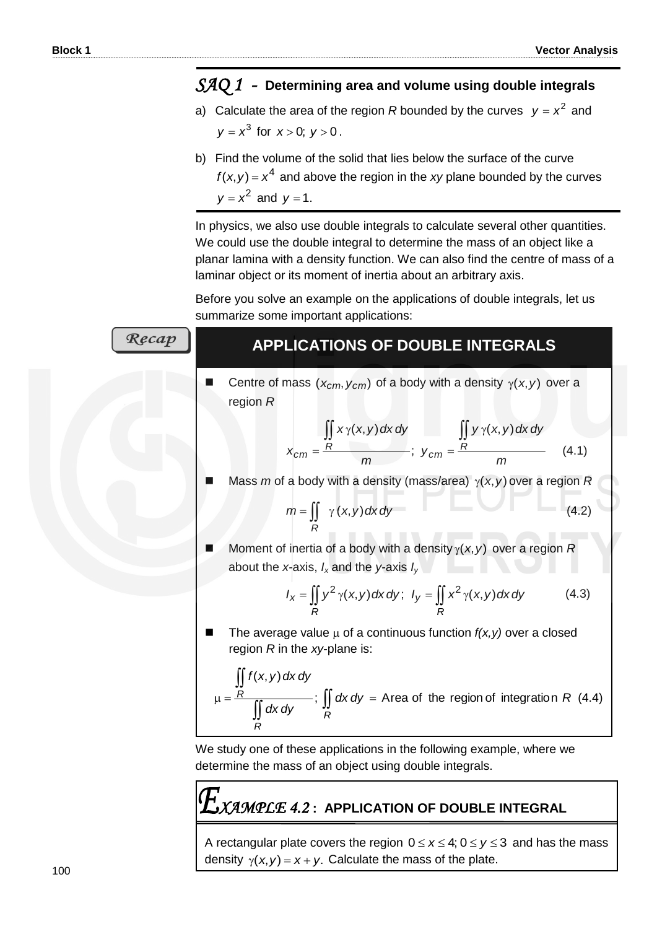### *SAQ 1 -* **Determining area and volume using double integrals**

- a) Calculate the area of the region R bounded by the curves  $y = x^2$  and  $y = x^3$  for  $x > 0$ ;  $y > 0$ .
- b) Find the volume of the solid that lies below the surface of the curve  $f(x, y) = x<sup>4</sup>$  and above the region in the *xy* plane bounded by the curves  $y = x^2$  and  $y = 1$ .

In physics, we also use double integrals to calculate several other quantities. We could use the double integral to determine the mass of an object like a planar lamina with a density function. We can also find the centre of mass of a laminar object or its moment of inertia about an arbitrary axis.

Before you solve an example on the applications of double integrals, let us summarize some important applications:

| Recap | <b>APPLICATIONS OF DOUBLE INTEGRALS</b>                                                                                          |       |
|-------|----------------------------------------------------------------------------------------------------------------------------------|-------|
|       | Centre of mass ( $x_{cm}$ , $y_{cm}$ ) of a body with a density $\gamma(x, y)$ over a<br>region $R$                              |       |
|       |                                                                                                                                  |       |
|       | $x_{cm} = \frac{\iint R x \gamma(x, y) dx dy}{m}$ ; $y_{cm} = \frac{R}{m}$                                                       | (4.1) |
|       | Mass m of a body with a density (mass/area) $\gamma(x, y)$ over a region R                                                       |       |
|       | $m = \iint \gamma(x, y) dx dy$                                                                                                   | (4.2) |
|       | Moment of inertia of a body with a density $\gamma(x, y)$ over a region R<br>about the x-axis, $I_x$ and the y-axis $I_y$        |       |
|       | $I_x = \iint y^2 \gamma(x, y) dx dy; \ I_y = \iint x^2 \gamma(x, y) dx dy$                                                       | (4.3) |
|       | The average value $\mu$ of a continuous function $f(x, y)$ over a closed<br>region $R$ in the xy-plane is:                       |       |
|       | $\mu = \frac{\iint_R f(x, y) dx dy}{\iint_R dx dy}$ ; $\iint_R dx dy = \text{Area of the region of integration } R$ (4.4)        |       |
|       | We study one of these applications in the following example, where we<br>determine the mass of an object using double integrals. |       |
|       |                                                                                                                                  |       |

*XAMPLE 4.2* **: APPLICATION OF DOUBLE INTEGRAL**

A rectangular plate covers the region  $0 \le x \le 4$ ;  $0 \le y \le 3$  and has the mass density  $\gamma(x, y) = x + y$ . Calculate the mass of the plate.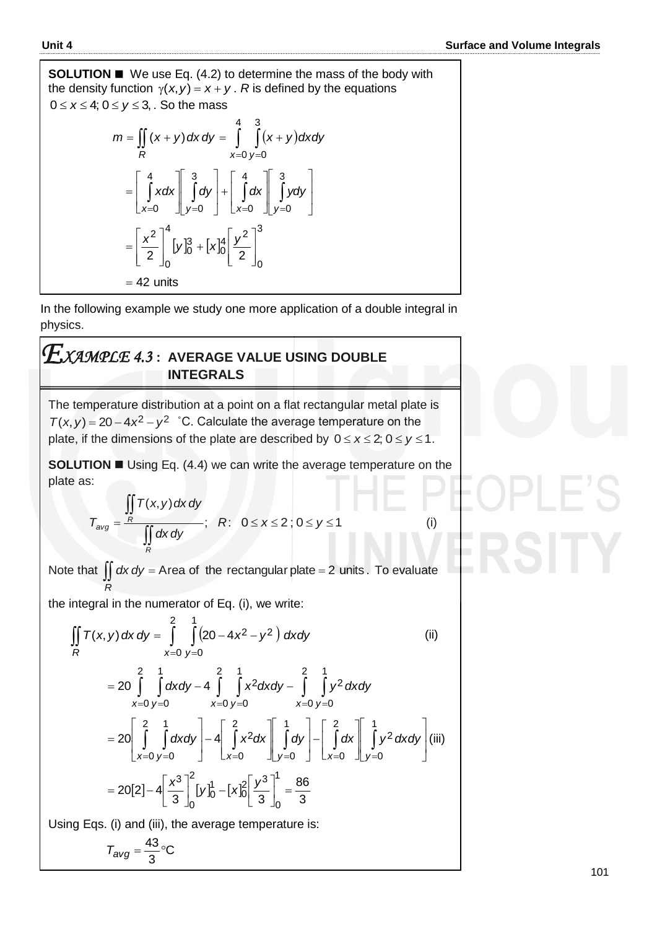**SOLUTION** ■ We use Eq. (4.2) to determine the mass of the body with the density function  $\gamma$ (*x*, *y*) = *x* + *y* . *R* is defined by the equations  $0 \leq x \leq 4; \, 0 \leq y \leq 3, \, .$  So the mass

r, 
$$
0 \le y \le 3
$$
, so the mass  
\n
$$
m = \iint_R (x + y) dx dy = \int_{x=0}^{4} \int_{y=0}^{3} (x + y) dx dy
$$
\n
$$
= \left[ \int_{x=0}^{4} x dx \right]_{y=0}^{3} dy + \left[ \int_{x=0}^{4} dx \right]_{y=0}^{3} y dy
$$
\n
$$
= \left[ \frac{x^2}{2} \right]_{0}^{4} [y]_{0}^{3} + [x]_{0}^{4} \left[ \frac{y^2}{2} \right]_{0}^{3}
$$
\n
$$
= 42 \text{ units}
$$

In the following example we study one more application of a double integral in physics.

### *XAMPLE 4.3* **: AVERAGE VALUE USING DOUBLE INTEGRALS**

The temperature distribution at a point on a flat rectangular metal plate is  $T(x, y) = 20 - 4x^2 - y^2$  °C. Calculate the average temperature on the plate, if the dimensions of the plate are described by  $0 \le x \le 2$ ;  $0 \le y \le 1$ .

**SOLUTION**  Using Eq. (4.4) we can write the average temperature on the plate as:

$$
T_{avg} = \frac{\iint\limits_{R} T(x, y) dx dy}{\iint\limits_{R} dx dy}; \quad R: \quad 0 \le x \le 2; \quad 0 \le y \le 1
$$
 (i)

Note that  $\iint dx dy =$  Area of the rectangular plate = 2 units. To evaluate *R*

the integral in the numerator of Eq. (i), we write:  
\n
$$
\iint_R T(x, y) dx dy = \int_{x=0}^{2} \int_{y=0}^{1} (20 - 4x^2 - y^2) dx dy
$$
\n(ii)  
\n
$$
= 20 \int_{x=0}^{2} \int_{y=0}^{1} dx dy - 4 \int_{x=0}^{2} \int_{y=0}^{1} x^2 dx dy - \int_{x=0}^{2} \int_{y=0}^{1} y^2 dx dy
$$
\n
$$
= 20 \left[ \int_{x=0}^{2} \int_{y=0}^{1} dx dy \right] - 4 \left[ \int_{x=0}^{2} x^2 dx \right] \left[ \int_{y=0}^{1} dy \right] - \left[ \int_{x=0}^{2} dx \right] \left[ \int_{y=0}^{1} y^2 dx dy \right]
$$
\n(iii)  
\n
$$
= 20[2] - 4 \left[ \frac{x^3}{3} \right]_{0}^{2} [y]_{0}^{1} - [x]_{0}^{2} \left[ \frac{y^3}{3} \right]_{0}^{1} = \frac{86}{3}
$$

Using Eqs. (i) and (iii), the average temperature is:

$$
T_{avg} = \frac{43}{3} \degree C
$$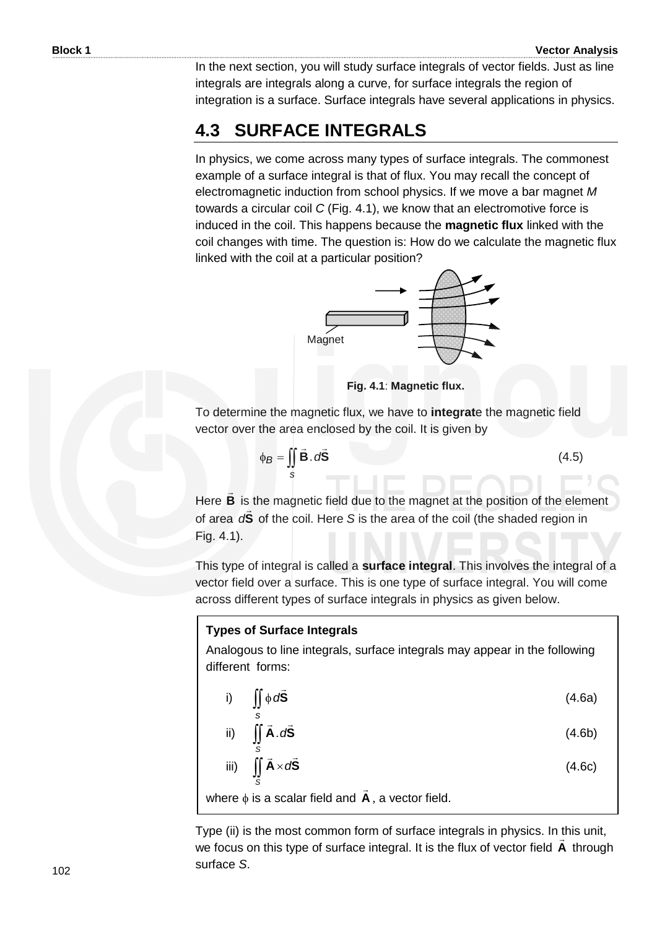In the next section, you will study surface integrals of vector fields. Just as line integrals are integrals along a curve, for surface integrals the region of integration is a surface. Surface integrals have several applications in physics.

## **4.3 SURFACE INTEGRALS**

In physics, we come across many types of surface integrals. The commonest example of a surface integral is that of flux. You may recall the concept of electromagnetic induction from school physics. If we move a bar magnet *M* towards a circular coil *C* (Fig. 4.1), we know that an electromotive force is induced in the coil. This happens because the **magnetic flux** linked with the coil changes with time. The question is: How do we calculate the magnetic flux linked with the coil at a particular position?



**Fig. 4.1**: **Magnetic flux.**

To determine the magnetic flux, we have to **integrat**e the magnetic field vector over the area enclosed by the coil. It is given by

$$
\phi_B = \iint\limits_{S} \vec{B} \cdot d\vec{S} \tag{4.5}
$$

Here **B**  $\overline{\phantom{a}}$ is the magnetic field due to the magnet at the position of the element of area d**S** of the coil. Here *S* is the area of the coil (the shaded region in Fig. 4.1).

This type of integral is called a **surface integral**. This involves the integral of a vector field over a surface. This is one type of surface integral. You will come across different types of surface integrals in physics as given below.

#### **Types of Surface Integrals**

Analogous to line integrals, surface integrals may appear in the following different forms:

i) 
$$
\iint_{S} \phi \, d\vec{S}
$$
 (4.6a)

ii) 
$$
\iint_{S} \vec{A} \cdot d\vec{S}
$$
 (4.6b)

iii) 
$$
\iint_{S} \vec{A} \times d\vec{S}
$$
 (4.6c)

where  $\phi$  is a scalar field and  $\boldsymbol{A}$ , a vector field.

Type (ii) is the most common form of surface integrals in physics. In this unit, we focus on this type of surface integral. It is the flux of vector field **A** through surface *S*.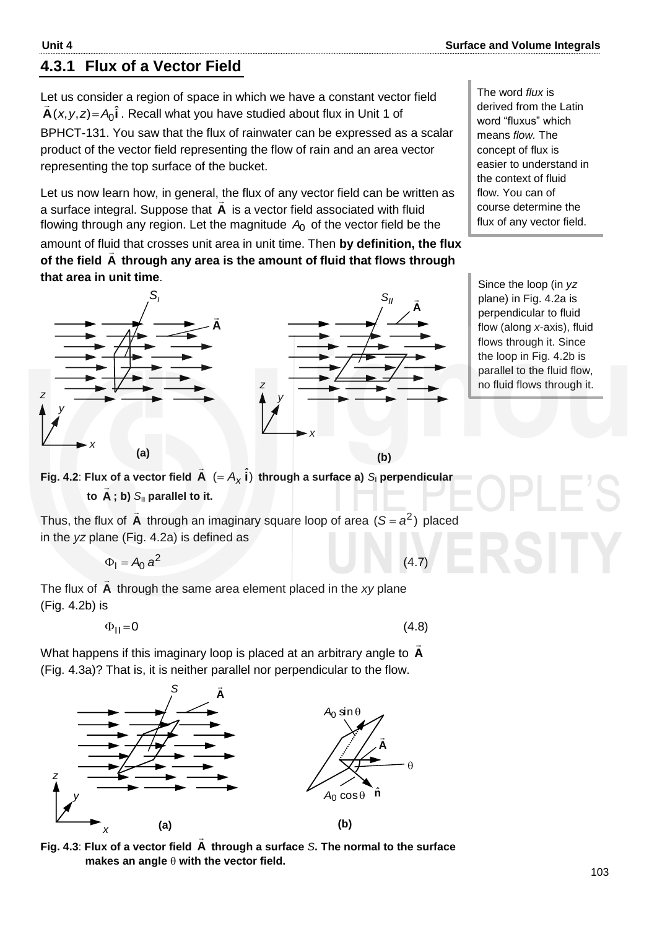#### **4.3.1 Flux of a Vector Field**

Let us consider a region of space in which we have a constant vector field  $\vec{A}(x, y, z)$  =  $A_0 \hat{i}$  . Recall what you have studied about flux in Unit 1 of BPHCT-131. You saw that the flux of rainwater can be expressed as a scalar product of the vector field representing the flow of rain and an area vector representing the top surface of the bucket.

Let us now learn how, in general, the flux of any vector field can be written as a surface integral. Suppose that **A**  $\overline{a}$  is a vector field associated with fluid flowing through any region. Let the magnitude  $A_0$  of the vector field be the

amount of fluid that crosses unit area in unit time. Then **by definition, the flux**  of the field A through any area is the amount of fluid that flows through **that area in unit time**.



The word *flux* is derived from the Latin word "fluxus" which means *flow.* The concept of flux is easier to understand in the context of fluid flow. You can of course determine the flux of any vector field.

Since the loop (in *yz* plane) in Fig. 4.2a is perpendicular to fluid flow (along *x*-axis), fluid flows through it. Since the loop in Fig. 4.2b is parallel to the fluid flow, no fluid flows through it.

**Fig. 4.2**: **Flux of a vector field A**  $\rightarrow$  $(= A_{\chi} \hat{i})$  through a surface a)  $S_{\text{l}}$  perpendicular **to A** l<br>F **; b)** *S*I**<sup>I</sup> parallel to it.**

Thus, the flux of **A**  $\overline{\phantom{a}}$ through an imaginary square loop of area  $(S = a^2)$  placed in the *yz* plane (Fig. 4.2a) is defined as

$$
\Phi_{I} = A_{0} a^{2}
$$

The flux of **A**  $\rightarrow$  through the same area element placed in the *xy* plane (Fig. 4.2b) is

 $\Phi_{II} = 0$ 

(4.8)

(4.7)

What happens if this imaginary loop is placed at an arbitrary angle to **A**  $\overline{a}$ (Fig. 4.3a)? That is, it is neither parallel nor perpendicular to the flow.



**Fig. 4.3**: **Flux of a vector field A through a surface** *S***. The normal to the surface**  makes an angle  $\theta$  with the vector field.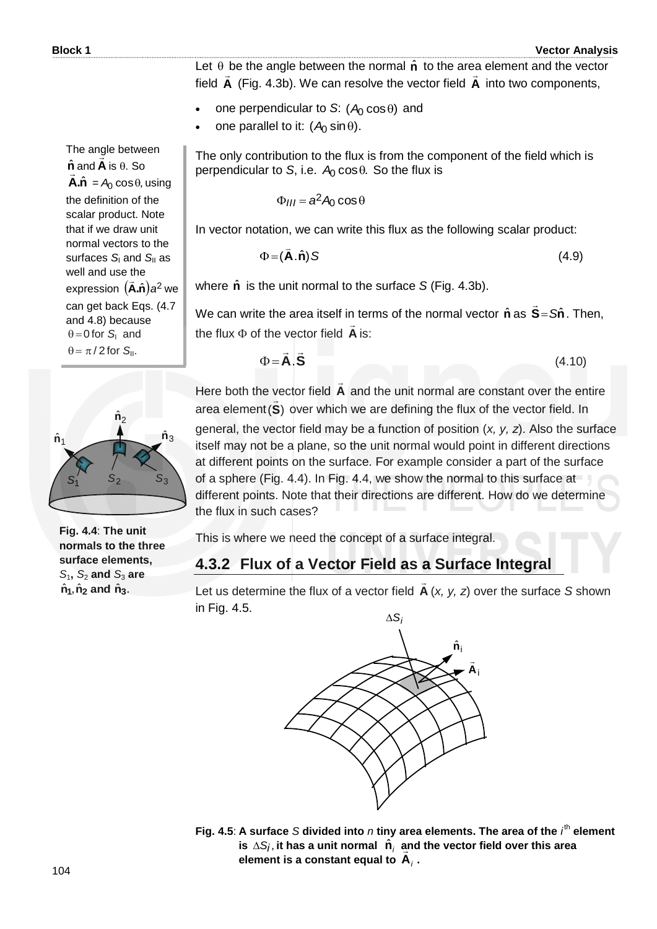104

The angle between  $\hat{\mathbf{n}}$  and **A** is  $\theta$ . So  $\mathbf{A}.\hat{\mathbf{n}} = A_0 \cos \theta$ , using the definition of the scalar product. Note that if we draw unit normal vectors to the surfaces *S*<sub>I</sub> and *S*<sub>II</sub> as well and use the expression  $(\tilde{\mathsf{A}}.\hat{\mathsf{n}})a^2$  $\frac{1}{2}$ we can get back Eqs. (4.7 and 4.8) because  $\theta = 0$  for  $S_1$  and  $\theta = \pi/2$  for  $S_{\parallel}$ .

Let  $\theta$  be the angle between the normal  $\hat{\mathbf{n}}$  to the area element and the vector field **A** (Fig. 4.3b). We can resolve the vector field **A** into two components,

- one perpendicular to S:  $(A_0 \cos \theta)$  and
- one parallel to it:  $(A_0 \sin \theta)$ .

The only contribution to the flux is from the component of the field which is perpendicular to S, i.e.  $A_0 \cos \theta$ . So the flux is

$$
\Phi_{III} = a^2 A_0 \cos \theta
$$

In vector notation, we can write this flux as the following scalar product:

$$
\Phi = (\vec{A}.\hat{n}) S \tag{4.9}
$$

where  $\hat{\mathbf{n}}$  is the unit normal to the surface *S* (Fig. 4.3b).

We can write the area itself in terms of the normal vector  $\hat{\mathbf{n}}$  as  $\hat{\mathbf{S}} = S\hat{\mathbf{n}}$  $\overline{a}$ . Then, the flux  $\Phi$  of the vector field  $\boldsymbol{A}$  $\frac{1}{2}$ is:

$$
\Phi = \vec{A}.\vec{S} \tag{4.10}
$$

Here both the vector field **A**  $\overline{a}$ vector field  $\bf{A}$  and the unit normal are constant over the entire area element (S) over which we are defining the flux of the vector field. In

general, the vector field may be a function of position (*x, y, z*). Also the surface itself may not be a plane, so the unit normal would point in different directions at different points on the surface. For example consider a part of the surface of a sphere (Fig. 4.4). In Fig. 4.4, we show the normal to this surface at different points. Note that their directions are different. How do we determine the flux in such cases?

This is where we need the concept of a surface integral.

#### **4.3.2 Flux of a Vector Field as a Surface Integral**

Let us determine the flux of a vector field **A**  $\overline{a}$ (*x, y, z*) over the surface *S* shown in Fig. 4.5.  $\Delta S_i$ 



# **Fig. 4.4**: **The unit normals to the three surface elements,**

 $\hat{\mathsf{n}}_2$ ˆ

 $\hat{\mathsf{n}}_3$ 

 $\mathcal{S}_3$ 

*S*1**,** *S*<sup>2</sup> **and** *S*<sup>3</sup> **are**   $\hat{\mathsf{n}}_1$ ,  $\hat{\mathsf{n}}_2$  and  $\hat{\mathsf{n}}_3$ .

 $\hat{\mathsf{n}}_1$ ˆ

*S*1

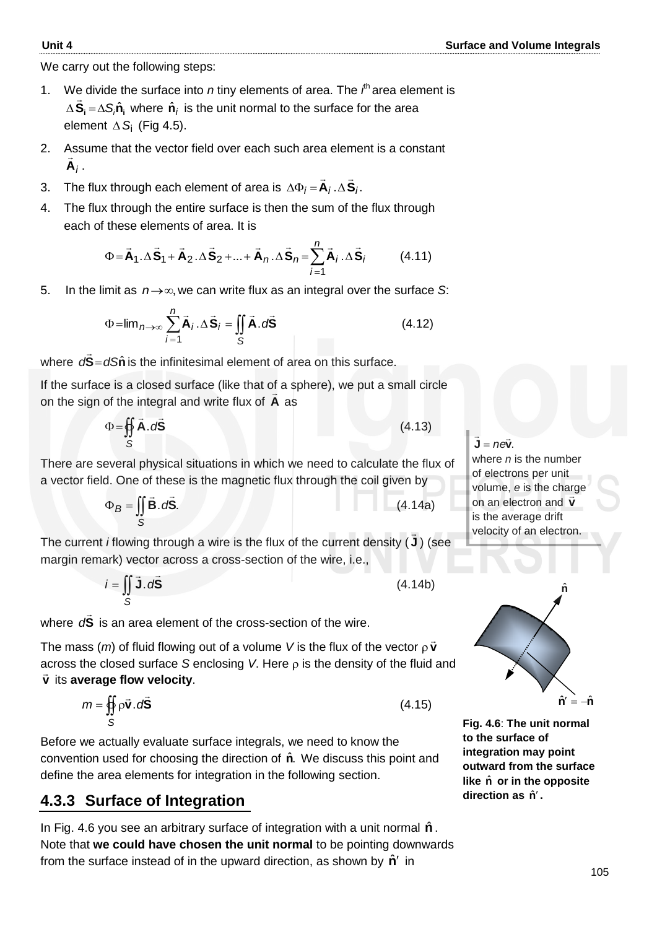We carry out the following steps:

- 1. We divide the surface into *n* tiny elements of area. The  $i^h$  area element is  $\Delta$ **S**<sub>i</sub> = $\Delta$ S<sub>i</sub> $\hat{\mathsf{n}}$ <sub>i</sub> where  $\hat{\mathsf{n}}$ <sub>i</sub> is the unit normal to the surface for the area element ∆ S<sub>i</sub> (Fig 4.5).
- 2. Assume that the vector field over each such area element is a constant **A***i*  $\frac{1}{2}$ .
- 3. The flux through each element of area is  $\Delta \Phi_i = \mathbf{A}_i \cdot \Delta \mathbf{S}_i$ .  $\frac{1}{2}$   $\frac{1}{2}$  $\Delta\Phi_i = \mathbf{A}_i \cdot \Delta$
- 4. The flux through the entire surface is then the sum of the flux through each of these elements of area. It is

$$
\Phi = \vec{A}_1 \cdot \Delta \vec{S}_1 + \vec{A}_2 \cdot \Delta \vec{S}_2 + \dots + \vec{A}_n \cdot \Delta \vec{S}_n = \sum_{i=1}^n \vec{A}_i \cdot \Delta \vec{S}_i
$$
(4.11)

5. In the limit as  $n \rightarrow \infty$ , we can write flux as an integral over the surface S:

$$
\Phi = \lim_{n \to \infty} \sum_{i=1}^{n} \vec{A}_{i} \cdot \Delta \vec{S}_{i} = \iint_{S} \vec{A} \cdot d\vec{S}
$$
 (4.12)

where  $d\tilde{\mathbf{S}} = dS\hat{\mathbf{n}}$  $\overline{a}$ is the infinitesimal element of area on this surface.

If the surface is a closed surface (like that of a sphere), we put a small circle on the sign of the integral and write flux of **A** as

$$
\Phi = \oint_{S} \vec{A} \cdot d\vec{S}
$$
 (4.13)

There are several physical situations in which we need to calculate the flux of a vector field. One of these is the magnetic flux through the coil given by

$$
\Phi_B = \iint\limits_{S} \vec{B} \cdot d\vec{S}.
$$
 (4.14a)

The current *i* flowing through a wire is the flux of the current density ( **J**  $\rightarrow$ ) (see margin remark) vector across a cross-section of the wire, i.e.,

$$
i = \iint\limits_{S} \vec{J} \cdot d\vec{S}
$$
 (4.14b)

where **S**  $\overline{a}$ d<sup>S</sup> is an area element of the cross-section of the wire.

The mass  $(m)$  of fluid flowing out of a volume V is the flux of the vector  $\rho \vec{v}$ across the closed surface  $S$  enclosing  $V$ . Here  $\rho$  is the density of the fluid and **v** its **average flow velocity**.

$$
m = \iint_{S} \rho \vec{v} \cdot d\vec{S}
$$
 (4.15)

Before we actually evaluate surface integrals, we need to know the convention used for choosing the direction of  $\hat{\mathbf{n}}$ . We discuss this point and define the area elements for integration in the following section.

#### **4.3.3 Surface of Integration**

In Fig. 4.6 you see an arbitrary surface of integration with a unit normal  $\hat{\mathbf{n}}$ . Note that **we could have chosen the unit normal** to be pointing downwards from the surface instead of in the upward direction, as shown by  $\hat{\mathbf{n}}'$  in

 $J = n e \vec{v}$ . *j* = ne $\vec{v}$ 

where *n* is the number of electrons per unit volume, *e* is the charge on an electron and **v** is the average drift velocity of an electron.



**Fig. 4.6**: **The unit normal to the surface of integration may point outward from the surface**  like  $\hat{n}$  or in the opposite direction as  $\hat{\mathsf{n}}'$ .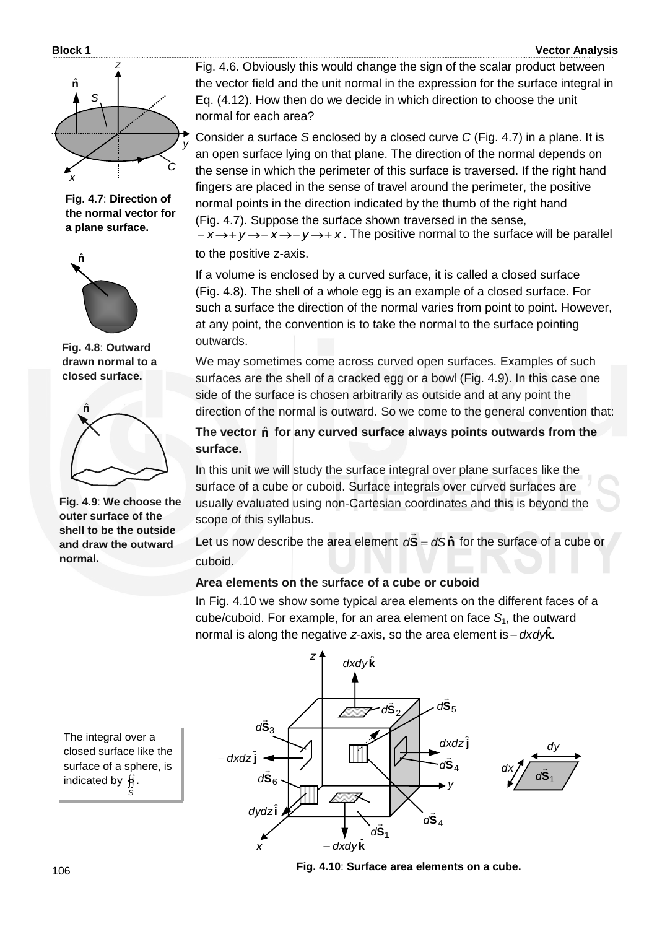#### **Block 1 Vector Analysis**



**Fig. 4.7**: **Direction of the normal vector for a plane surface.**



**Fig. 4.8**: **Outward drawn normal to a closed surface.**



**Fig. 4.9**: **We choose the outer surface of the shell to be the outside and draw the outward normal.**

Fig. 4.6. Obviously this would change the sign of the scalar product between the vector field and the unit normal in the expression for the surface integral in Eq. (4.12). How then do we decide in which direction to choose the unit normal for each area?

Consider a surface *S* enclosed by a closed curve *C* (Fig. 4.7) in a plane. It is an open surface lying on that plane. The direction of the normal depends on the sense in which the perimeter of this surface is traversed. If the right hand fingers are placed in the sense of travel around the perimeter, the positive normal points in the direction indicated by the thumb of the right hand (Fig. 4.7). Suppose the surface shown traversed in the sense,  $x \rightarrow y \rightarrow -x \rightarrow -y \rightarrow +x$ . The positive normal to the surface will be parallel

to the positive z-axis.

If a volume is enclosed by a curved surface, it is called a closed surface (Fig. 4.8). The shell of a whole egg is an example of a closed surface. For such a surface the direction of the normal varies from point to point. However, at any point, the convention is to take the normal to the surface pointing outwards.

We may sometimes come across curved open surfaces. Examples of such surfaces are the shell of a cracked egg or a bowl (Fig. 4.9). In this case one side of the surface is chosen arbitrarily as outside and at any point the direction of the normal is outward. So we come to the general convention that:

The vector  $\hat{n}$  for any curved surface always points outwards from the **surface.** 

In this unit we will study the surface integral over plane surfaces like the surface of a cube or cuboid. Surface integrals over curved surfaces are usually evaluated using non-Cartesian coordinates and this is beyond the scope of this syllabus.

Let us now describe the area element  $dS = dS\hat{n}$  $\overline{a}$  for the surface of a cube or cuboid.

#### **Area elements on the** s**urface of a cube or cuboid**

In Fig. 4.10 we show some typical area elements on the different faces of a cube/cuboid. For example, for an area element on face *S*1, the outward normal is along the negative *z*-axis, so the area element is . *dxdy***k** ˆ



The integral over a closed surface like the surface of a sphere, is indicated by  $\,\,\mathfrak{H}$  . *S*

 **Fig. 4.10**: **Surface area elements on a cube.**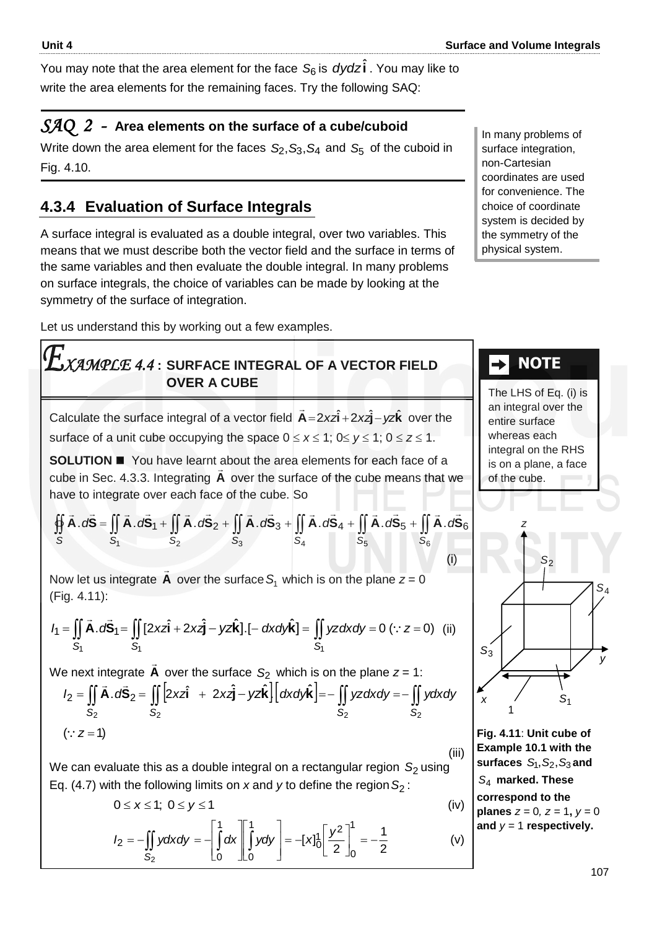You may note that the area element for the face  $\mathcal{S}_6$  is *dydz* $\hat{\mathbf{i}}$  . You may like to write the area elements for the remaining faces. Try the following SAQ:

#### *SAQ 2 -* **Area elements on the surface of a cube/cuboid**

Write down the area element for the faces  $\mathcal{S}_2$ ,  $\mathcal{S}_3$ ,  $\mathcal{S}_4$  and  $\mathcal{S}_5$  of the cuboid in Fig. 4.10.

#### **4.3.4 Evaluation of Surface Integrals**

A surface integral is evaluated as a double integral, over two variables. This means that we must describe both the vector field and the surface in terms of the same variables and then evaluate the double integral. In many problems on surface integrals, the choice of variables can be made by looking at the symmetry of the surface of integration.

Let us understand this by working out a few examples.

### *XAMPLE 4.4* **: SURFACE INTEGRAL OF A VECTOR FIELD OVER A CUBE**

Calculate the surface integral of a vector field  $\vec{A} = 2x\hat{i} + 2x\hat{j} - yz\hat{k}$  $\overline{a}$ over the surface of a unit cube occupying the space  $0 \le x \le 1$ ;  $0 \le y \le 1$ ;  $0 \le z \le 1$ .

**SOLUTION**  You have learnt about the area elements for each face of a cube in Sec. 4.3.3. Integrating **A** over the surface of the cube means that we have to integrate over each face of the cube. So

$$
\oiint_{S} \vec{A} \cdot d\vec{S} = \iint_{S_1} \vec{A} \cdot d\vec{S}_1 + \iint_{S_2} \vec{A} \cdot d\vec{S}_2 + \iint_{S_3} \vec{A} \cdot d\vec{S}_3 + \iint_{S_4} \vec{A} \cdot d\vec{S}_4 + \iint_{S_5} \vec{A} \cdot d\vec{S}_5 + \iint_{S_6} \vec{A} \cdot d\vec{S}_6
$$
\n(i)

Now let us integrate **A**  $\Rightarrow$ over the surface  $S_1$  which is on the plane  $z = 0$ (Fig. 4.11):

(Fig. 4.11):  
\n
$$
I_{1} = \iint_{S_{1}} \vec{A} \cdot d\vec{S}_{1} = \iint_{S_{1}} [2xz\hat{i} + 2xz\hat{j} - yz\hat{k}] \cdot [- dx dy\hat{k}] = \iint_{S_{1}} yz dx dy = 0 \ (\because z = 0) \ \ (ii)
$$

We next integrate **A**  $\overline{a}$ over the surface *S*2 which is on the plane *z* = 1:

$$
I = \iint_{S_1} \vec{A} \cdot d\vec{S}_1 = \iint_{S_1} [2xz\hat{i} + 2xz\hat{j} - yz\hat{k}] \cdot [- dx dy\hat{k}] = \iint_{S_1} yz dx dy = 0 \quad (\because z = 0) \quad \text{(ii)}
$$
\n
$$
V = \text{next integrate } \vec{A} \text{ over the surface } S_2 \text{ which is on the plane } z = 1:
$$
\n
$$
I_2 = \iint_{S_2} \vec{A} \cdot d\vec{S}_2 = \iint_{S_2} [2xz\hat{i} + 2xz\hat{j} - yz\hat{k}] \cdot [dx dy\hat{k}] = - \iint_{S_2} yz dx dy = - \iint_{S_2} ydx dy
$$
\n
$$
(\because z = 1) \qquad \text{Fig. 4.1}
$$

We can evaluate this as a double integral on a rectangular region S<sub>2</sub> using Eq. (4.7) with the following limits on *x* and *y* to define the region *S*2 :

$$
0 \leq x \leq 1; \ 0 \leq y \leq 1 \tag{iv}
$$

$$
I_2 = -\iint_{S_2} y \, dx \, dy = -\left[ \int_0^1 dx \right] \left[ \int_0^1 y \, dy \right] = -[x]_0^1 \left[ \frac{y^2}{2} \right]_0^1 = -\frac{1}{2} \tag{V}
$$

#### In many problems of surface integration, non-Cartesian coordinates are used for convenience. The choice of coordinate system is decided by the symmetry of the physical system.

## **NOTE**

The LHS of Eq. (i) is an integral over the entire surface whereas each integral on the RHS is on a plane, a face of the cube.



**Fig. 4.11**: **Unit cube of Example 10.1 with the**   $surtaces S<sub>1</sub>, S<sub>2</sub>, S<sub>3</sub> and$ *S*4 **marked. These correspond to the planes**  $z = 0$ ,  $z = 1$ ,  $y = 0$ and  $y = 1$  respectively.

(iii)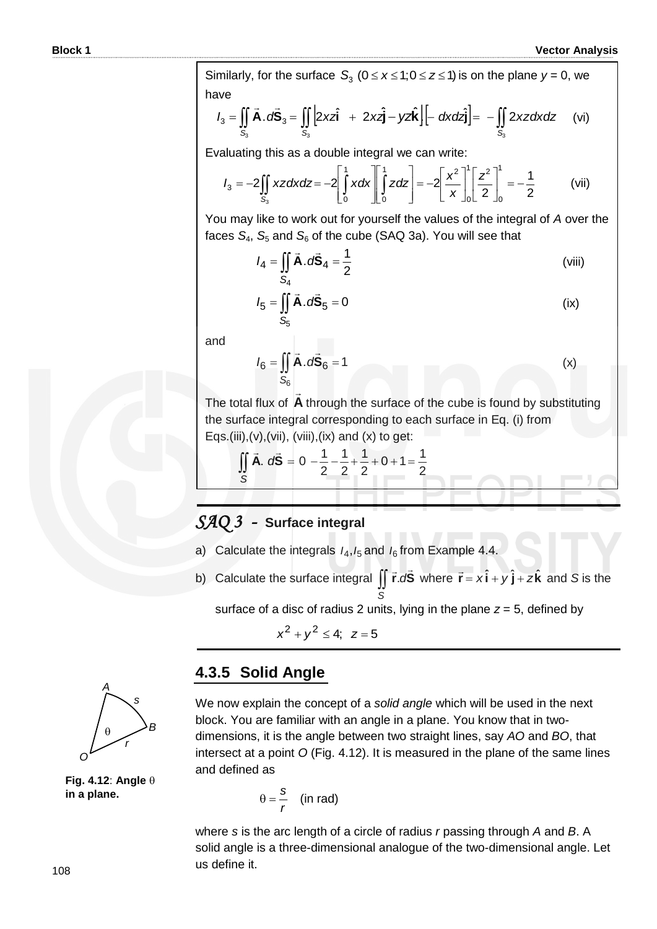Similarly, for the surface  $S_3$  ( $0 \le x \le 1; 0 \le z \le 1$ ) is on the plane  $y = 0$ , we have

| Vector Anni                                                                                                                                                                                  |
|----------------------------------------------------------------------------------------------------------------------------------------------------------------------------------------------|
| Similarly, for the surface $S_3$ ( $0 \le x \le 1$ ; $0 \le z \le 1$ ) is on the plane $y = 0$ , we                                                                                          |
| $I_3 = \iint_{S_3} \vec{A} \cdot d\vec{S}_3 = \iint_{S_3} \left[ 2x\vec{a} + 2x\vec{a} - y\vec{a} \vec{k} \right] \left[ -\frac{dx}{a\vec{a}} \right] = -\iint_{S_3} 2xz \, dx \, dz$ (vi)\n |

Evaluating this as a double integral we can write:

$$
I_3 = -2 \iint\limits_{S_3} xz dx dz = -2 \left[ \int\limits_0^1 x dx \right] \left[ \int\limits_0^1 z dz \right] = -2 \left[ \frac{x^2}{x} \right] \left[ \frac{z^2}{2} \right]_0^1 = -\frac{1}{2}
$$
 (vii)

You may like to work out for yourself the values of the integral of *A* over the faces  $S_4$ ,  $S_5$  and  $S_6$  of the cube (SAQ 3a). You will see that

$$
I_4 = \iint\limits_{S_4} \vec{A} \cdot d\vec{S}_4 = \frac{1}{2}
$$
 (viii)

$$
I_5 = \iint\limits_{S_5} \vec{A} \cdot d\vec{S}_5 = 0
$$
 (ix)

and

$$
I_6 = \iint\limits_{S_6} \vec{A} \cdot d\vec{S}_6 = 1
$$
 (x)

The total flux of A through the surface of the cube is found by substituting the surface integral corresponding to each surface in Eq. (i) from Eqs.(iii),(v),(vii), (viii),(ix) and (x) to get:

$$
\iint_{S} \vec{A} \cdot d\vec{S} = 0 - \frac{1}{2} - \frac{1}{2} + \frac{1}{2} + 0 + 1 = \frac{1}{2}
$$

#### *SAQ 3 -* **Surface integral**

- a) Calculate the integrals  $I_4$ ,  $I_5$  and  $I_6$  from Example 4.4.
- b) Calculate the surface integral  $\iint \vec{r} \cdot d\vec{S}$  where  $\vec{r} = x\hat{i} + y\hat{j} + z\hat{k}$  and *S* is the *S*

surface of a disc of radius 2 units, lying in the plane  $z = 5$ , defined by

 $x^2 + y^2 \le 4$ ; z=5



**Fig. 4.12**: **Angle in a plane.**

#### **4.3.5 Solid Angle**

We now explain the concept of a *solid angle* which will be used in the next block. You are familiar with an angle in a plane. You know that in twodimensions, it is the angle between two straight lines, say *AO* and *BO*, that intersect at a point *O* (Fig. 4.12). It is measured in the plane of the same lines and defined as

$$
\theta = \frac{s}{r}
$$
 (in rad)

where *s* is the arc length of a circle of radius *r* passing through *A* and *B*. A solid angle is a three-dimensional analogue of the two-dimensional angle. Let us define it.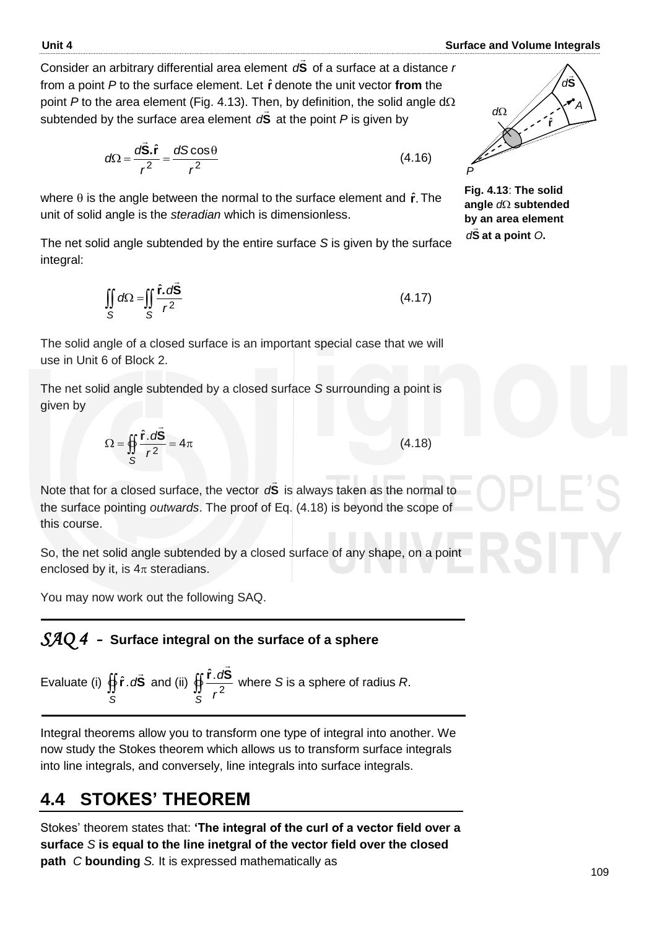Consider an arbitrary differential area element **S** ...<br>= *d* of a surface at a distance *r*  from a point *P* to the surface element. Let **r** ˆ denote the unit vector **from** the point  $P$  to the area element (Fig. 4.13). Then, by definition, the solid angle  $d\Omega$ subtended by the surface area element **S**  $\frac{1}{2}$ *d***S** at the point *P* is given by

$$
d\Omega = \frac{d\vec{S}.\hat{r}}{r^2} = \frac{dS\cos\theta}{r^2}
$$
 (4.16)

where  $\theta$  is the angle between the normal to the surface element and  $\hat{r}$ . The unit of solid angle is the *steradian* which is dimensionless.

The net solid angle subtended by the entire surface *S* is given by the surface integral:

$$
\iint_{S} d\Omega = \iint_{S} \frac{\hat{\mathbf{r}} \cdot d\vec{\mathbf{S}}}{r^2}
$$
\n(4.17)

The solid angle of a closed surface is an important special case that we will use in Unit 6 of Block 2.

The net solid angle subtended by a closed surface *S* surrounding a point is given by

$$
\Omega = \oint_{\mathcal{S}} \frac{\hat{\mathbf{r}} \cdot d\vec{\mathbf{S}}}{r^2} = 4\pi
$$
 (4.18)

Note that for a closed surface, the vector **S**  $\overline{a}$ d<sup>S</sup> is always taken as the normal to the surface pointing *outwards*. The proof of Eq. (4.18) is beyond the scope of this course.

So, the net solid angle subtended by a closed surface of any shape, on a point enclosed by it, is  $4\pi$  steradians.

You may now work out the following SAQ.

### *SAQ 4 -* **Surface integral on the surface of a sphere**

Evaluate (i) 
$$
\oiint_S \hat{\mathbf{r}} \cdot d\vec{\mathbf{S}}
$$
 and (ii)  $\oiint_S \frac{\hat{\mathbf{r}} \cdot d\vec{\mathbf{S}}}{r^2}$  where *S* is a sphere of radius *R*.

Integral theorems allow you to transform one type of integral into another. We now study the Stokes theorem which allows us to transform surface integrals into line integrals, and conversely, line integrals into surface integrals.

# **4.4 STOKES' THEOREM**

Stokes' theorem states that: **'The integral of the curl of a vector field over a surface** *S* **is equal to the line inetgral of the vector field over the closed path** *C* **bounding** *S.* It is expressed mathematically as



**Fig. 4.13**: **The solid**  angle  $d\Omega$  subtended **by an area element S** *d* **at a point** *O***.**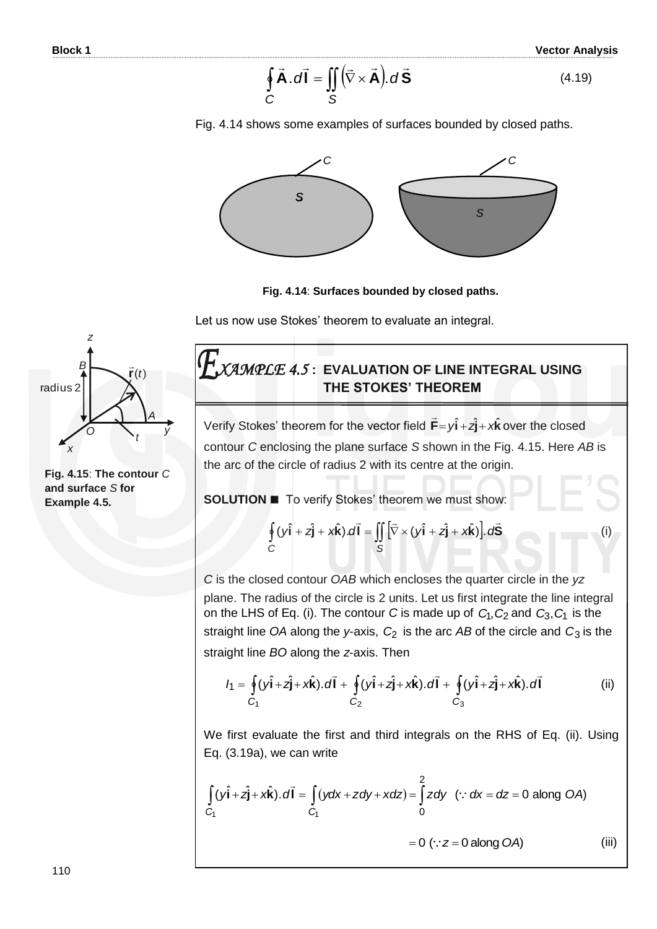$$
\oint_{C} \vec{A} \cdot d\vec{l} = \iint_{S} (\vec{\nabla} \times \vec{A}) \cdot d\vec{S}
$$
\n(4.19)

(i)







Let us now use Stokes' theorem to evaluate an integral.



**Fig. 4.15**: **The contour** *C* **and surface** *S* **for Example 4.5.**

### *XAMPLE 4.5* **: EVALUATION OF LINE INTEGRAL USING THE STOKES' THEOREM**

Verify Stokes' theorem for the vector field  $\vec{F} = y\hat{i} + z\hat{j} + x\hat{k}$  $\overline{a}$ over the closed contour *C* enclosing the plane surface *S* shown in the Fig. 4.15. Here *AB* is the arc of the circle of radius 2 with its centre at the origin.

**SOLUTION T**o verify Stokes' theorem we must show:

$$
\oint_{C} (y\hat{\mathbf{i}} + z\hat{\mathbf{j}} + x\hat{\mathbf{k}}).d\vec{\mathbf{l}} = \iint_{S} \left[ \vec{\nabla} \times (y\hat{\mathbf{i}} + z\hat{\mathbf{j}} + x\hat{\mathbf{k}}) \right].d\vec{S}
$$

*C* is the closed contour *OAB* which encloses the quarter circle in the *yz* plane. The radius of the circle is 2 units. Let us first integrate the line integral on the LHS of Eq. (i). The contour C is made up of  $C_1$ ,  $C_2$  and  $C_3$ ,  $C_1$  is the straight line OA along the y-axis,  $C_2$  is the arc AB of the circle and  $C_3$  is the straight line *BO* along the *z*-axis. Then

$$
I_1 = \oint_{C_1} (y\hat{\mathbf{i}} + z\hat{\mathbf{j}} + x\hat{\mathbf{k}}) \cdot d\vec{\mathbf{l}} + \oint_{C_2} (y\hat{\mathbf{i}} + z\hat{\mathbf{j}} + x\hat{\mathbf{k}}) \cdot d\vec{\mathbf{l}} + \oint_{C_3} (y\hat{\mathbf{i}} + z\hat{\mathbf{j}} + x\hat{\mathbf{k}}) \cdot d\vec{\mathbf{l}} \tag{ii}
$$

We first evaluate the first and third integrals on the RHS of Eq. (ii). Using Eq. (3.19a), we can write

$$
\int_{C_1} (y\hat{\mathbf{i}} + z\hat{\mathbf{j}} + x\hat{\mathbf{k}}) \cdot d\vec{\mathbf{l}} = \int_{C_1} (ydx + zdy + xdz) = \int_0^2 zdy \quad (\because dx = dz = 0 \text{ along OA})
$$
\n
$$
= 0 \quad (\because z = 0 \text{ along OA}) \tag{iii}
$$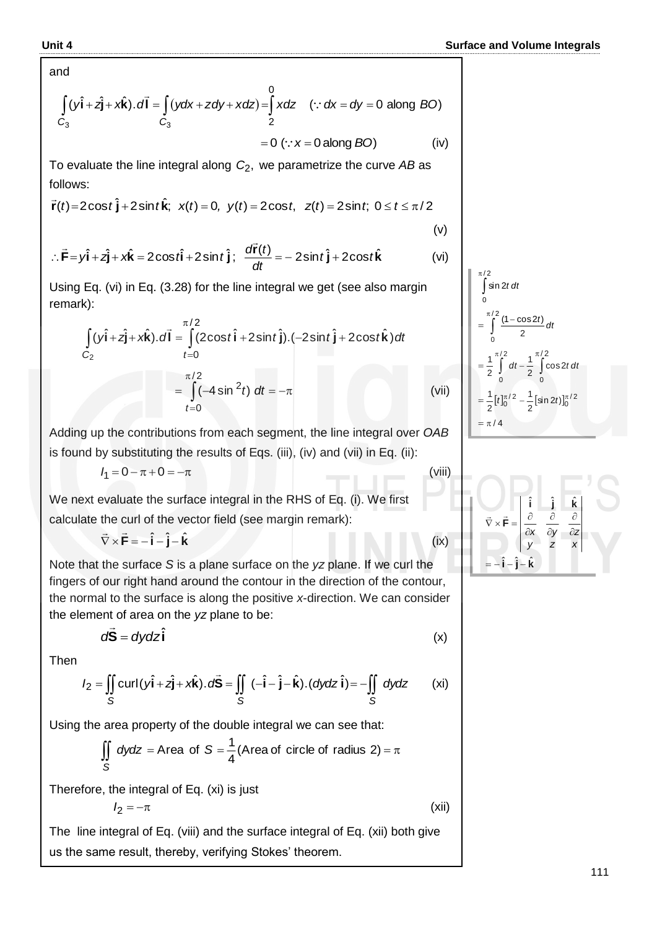and

$$
\int_{C_3} (y\hat{\mathbf{i}} + z\hat{\mathbf{j}} + x\hat{\mathbf{k}}) \cdot d\vec{\mathbf{l}} = \int_{C_3} (ydx + zdy + xdz) = \int_{2}^{0} xdz \quad (\because dx = dy = 0 \text{ along } BO)
$$
  
= 0 ( $\because x = 0 \text{ along } BO$ ) (iv)

To evaluate the line integral along *C*2, we parametrize the curve *AB* as follows:

$$
\vec{r}(t) = 2\cos t \hat{j} + 2\sin t \hat{k}
$$
;  $x(t) = 0$ ,  $y(t) = 2\cos t$ ,  $z(t) = 2\sin t$ ;  $0 \le t \le \pi/2$ 

$$
\therefore \vec{F} = y\hat{i} + z\hat{j} + x\hat{k} = 2\cos t\hat{i} + 2\sin t\hat{j}; \quad \frac{d\vec{r}(t)}{dt} = -2\sin t\hat{j} + 2\cos t\hat{k}
$$
 (vi)

Using Eq. (vi) in Eq. (3.28) for the line integral we get (see also margin remark):

$$
\int_{C_2} (y\hat{\mathbf{i}} + z\hat{\mathbf{j}} + x\hat{\mathbf{k}}) \cdot d\vec{\mathbf{l}} = \int_{t=0}^{\pi/2} (2\cos t \hat{\mathbf{i}} + 2\sin t \hat{\mathbf{j}}) \cdot (-2\sin t \hat{\mathbf{j}} + 2\cos t \hat{\mathbf{k}}) dt
$$

$$
= \int_{t=0}^{\pi/2} (-4\sin^2 t) dt = -\pi
$$
(vii)

Adding up the contributions from each segment, the line integral over *OAB* is found by substituting the results of Eqs. (iii), (iv) and (vii) in Eq. (ii):

$$
I_1 = 0 - \pi + 0 = -\pi
$$

We next evaluate the surface integral in the RHS of Eq. (i). We first calculate the curl of the vector field (see margin remark):

 $\vec{\nabla} \times \vec{\mathbf{F}} = -\hat{\mathbf{i}} - \hat{\mathbf{j}} - \hat{\mathbf{k}}$ 

Note that the surface *S* is a plane surface on the *yz* plane. If we curl the fingers of our right hand around the contour in the direction of the contour, the normal to the surface is along the positive *x*-direction. We can consider the element of area on the *yz* plane to be:

$$
d\vec{S} = dydz\hat{i}
$$
 (x)

Then

$$
I_2 = \iint_S \text{curl}(\hat{y}\hat{\mathbf{i}} + \hat{z}\hat{\mathbf{j}} + x\hat{\mathbf{k}}).\,d\vec{S} = \iint_S (-\hat{\mathbf{i}} - \hat{\mathbf{j}} - \hat{\mathbf{k}}).(\text{dydz }\hat{\mathbf{i}}) = -\iint_S \text{dydz} \qquad \text{(xi)}
$$

Using the area property of the double integral we can see that:

$$
\iint_{S} dydz = \text{Area of } S = \frac{1}{4} (\text{Area of circle of radius 2}) = \pi
$$

Therefore, the integral of Eq. (xi) is just

$$
I_2=-\pi
$$

The line integral of Eq. (viii) and the surface integral of Eq. (xii) both give us the same result, thereby, verifying Stokes' theorem.

$$
\int_{0}^{\pi/2} \sin 2t \, dt
$$
\n  
\n
$$
= \int_{0}^{\pi/2} \frac{(1 - \cos 2t)}{2} \, dt
$$
\n  
\n
$$
= \frac{1}{2} \int_{0}^{\pi/2} dt - \frac{1}{2} \int_{0}^{\pi/2} \cos 2t \, dt
$$
\n  
\n
$$
= \frac{1}{2} [t]_{0}^{\pi/2} - \frac{1}{2} [\sin 2t]_{0}^{\pi/2}
$$
\n  
\n
$$
= \pi/4
$$

(v)

(viii)

(ix)

(xii)

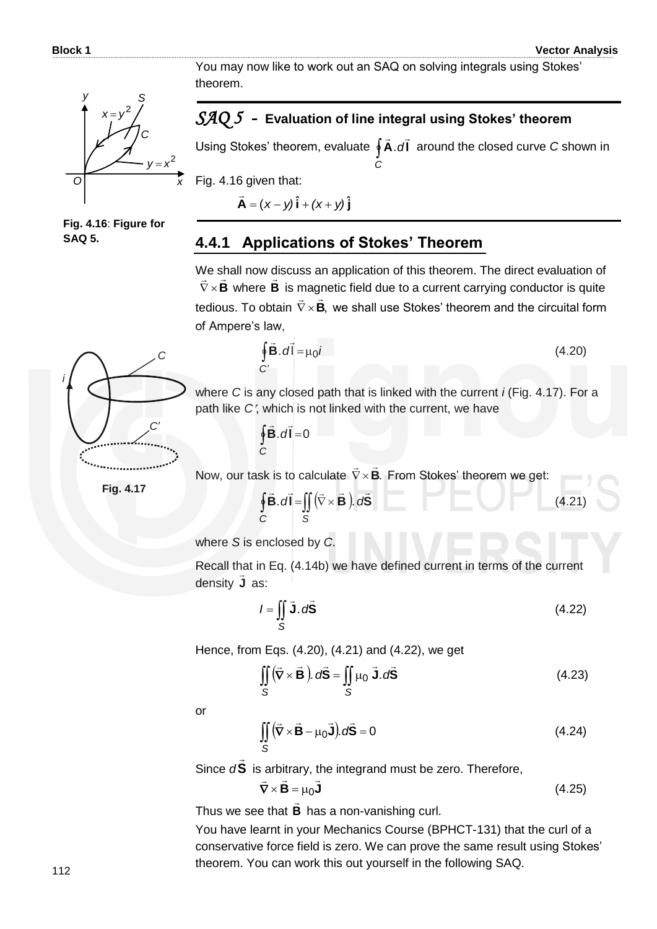You may now like to work out an SAQ on solving integrals using Stokes' theorem.



**Fig. 4.16**: **Figure for SAQ 5.**

#### *SAQ 5 -* **Evaluation of line integral using Stokes' theorem**

Using Stokes' theorem, evaluate **∮A**.dl *C*  $\overline{z}$   $\overline{z}$ .dl around the closed curve C shown in

Fig. 4.16 given that:

 $\vec{A} = (x - y)\hat{i} + (x + y)\hat{j}$  $\overline{a}$ 

#### **4.4.1 Applications of Stokes' Theorem**

We shall now discuss an application of this theorem. The direct evaluation of  $\nabla \times \mathbf{B}$  where **B** is magnetic field due to a current carrying conductor is quite tedious. To obtain  $\nabla \times \mathbf{B}$ ,  $\nabla \times \mathbf{B}$ , we shall use Stokes' theorem and the circuital form of Ampere's law,



$$
\oint_C \vec{\mathbf{B}} \cdot d\vec{l} = \mu_0 i
$$
\n(4.20)

where *C* is any closed path that is linked with the current *i* (Fig. 4.17). For a path like C', which is not linked with the current, we have

> $\oint$ **B**  $d$ **l** = 0 *C*  $\frac{1}{2}$   $\frac{1}{2}$

Now, our task is to calculate  $\nabla \times \mathbf{B}$ .  $\frac{1}{2}$   $\frac{1}{2}$  $\nabla \times \mathbf{B}$ . From Stokes' theorem we get:

**Fig. 4.17**

$$
\oint_C \vec{B} \cdot d\vec{l} = \iint_S (\vec{\nabla} \times \vec{B}) \cdot d\vec{S}
$$
 (4.21)

where *S* is enclosed by *C*.

Recall that in Eq. (4.14b) we have defined current in terms of the current density **J** as:

$$
I = \iint\limits_{S} \vec{J} \cdot d\vec{S}
$$
 (4.22)

Hence, from Eqs. (4.20), (4.21) and (4.22), we get  
\n
$$
\iint_{S} (\vec{\nabla} \times \vec{\mathbf{B}}) \cdot d\vec{\mathbf{S}} = \iint_{S} \mu_0 \vec{\mathbf{J}} \cdot d\vec{\mathbf{S}}
$$
\n(4.23)

or

$$
\iint_{S} (\vec{\nabla} \times \vec{\mathbf{B}} - \mu_0 \vec{\mathbf{J}}) \, d\vec{\mathbf{S}} = 0 \tag{4.24}
$$

Since *d* **S**  $\overline{\phantom{a}}$ is arbitrary, the integrand must be zero. Therefore,

$$
\vec{\nabla} \times \vec{\mathbf{B}} = \mu_0 \vec{\mathbf{J}} \tag{4.25}
$$

Thus we see that **B** has a non-vanishing curl.

You have learnt in your Mechanics Course (BPHCT-131) that the curl of a conservative force field is zero. We can prove the same result using Stokes' theorem. You can work this out yourself in the following SAQ.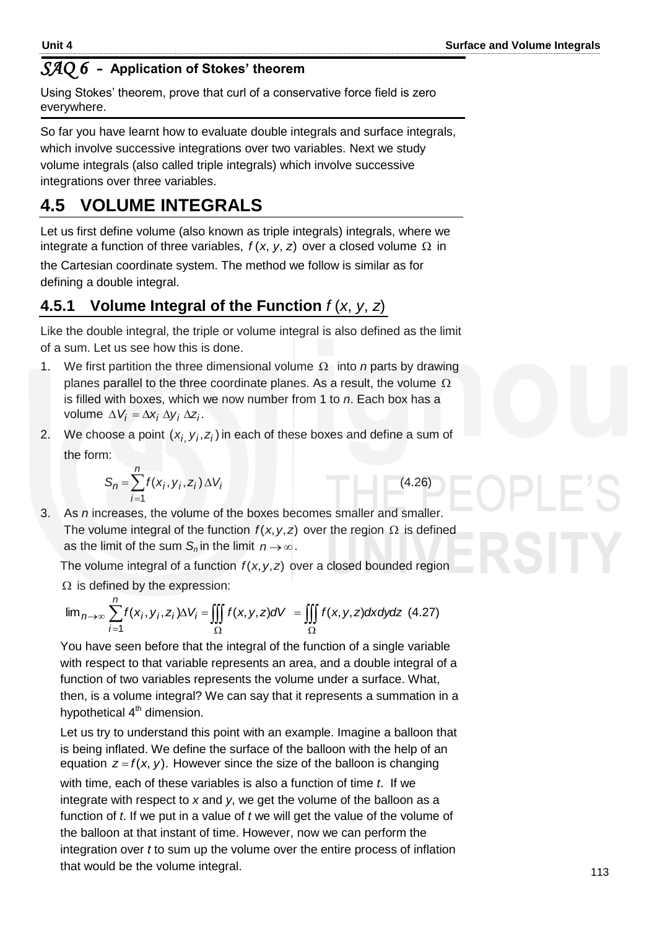#### *SAQ 6 -* **Application of Stokes' theorem**

Using Stokes' theorem, prove that curl of a conservative force field is zero everywhere.

So far you have learnt how to evaluate double integrals and surface integrals, which involve successive integrations over two variables. Next we study volume integrals (also called triple integrals) which involve successive integrations over three variables.

# **4.5 VOLUME INTEGRALS**

Let us first define volume (also known as triple integrals) integrals, where we integrate a function of three variables,  $f(x, y, z)$  over a closed volume  $\Omega$  in

the Cartesian coordinate system. The method we follow is similar as for defining a double integral.

### **4.5.1 Volume Integral of the Function** *f* (*x*, *y*, *z*)

Like the double integral, the triple or volume integral is also defined as the limit of a sum. Let us see how this is done.

- 1. We first partition the three dimensional volume  $\Omega$  into *n* parts by drawing planes parallel to the three coordinate planes. As a result, the volume  $\Omega$ is filled with boxes, which we now number from 1 to *n*. Each box has a volume  $\Delta V_i = \Delta x_i \Delta y_i \Delta z_i$ .
- 2. We choose a point  $(x_{i_j}, y_{i}, z_{i})$  in each of these boxes and define a sum of the form:

$$
S_n = \sum_{i=1}^n f(x_i, y_i, z_i) \Delta V_i
$$
 (4.26)

3. As *n* increases, the volume of the boxes becomes smaller and smaller. The volume integral of the function 
$$
f(x, y, z)
$$
 over the region  $\Omega$  is defined as the limit of the sum  $S_n$  in the limit  $n \rightarrow \infty$ .

The volume integral of a function  $f(x, y, z)$  over a closed bounded region  $\Omega$  is defined by the expression:

The volume integral of a function 
$$
f(x, y, z)
$$
 over a closed bounded region  
\n
$$
\lim_{n \to \infty} \sum_{i=1}^{n} f(x_i, y_i, z_i) \Delta V_i = \iiint_{\Omega} f(x, y, z) dV = \iiint_{\Omega} f(x, y, z) dx dy dz
$$
 (4.27)

You have seen before that the integral of the function of a single variable with respect to that variable represents an area, and a double integral of a function of two variables represents the volume under a surface. What, then, is a volume integral? We can say that it represents a summation in a hypothetical  $4<sup>th</sup>$  dimension.

Let us try to understand this point with an example. Imagine a balloon that is being inflated. We define the surface of the balloon with the help of an equation  $z = f(x, y)$ . However since the size of the balloon is changing with time, each of these variables is also a function of time *t*. If we integrate with respect to *x* and *y*, we get the volume of the balloon as a function of *t*. If we put in a value of *t* we will get the value of the volume of the balloon at that instant of time. However, now we can perform the integration over *t* to sum up the volume over the entire process of inflation that would be the volume integral.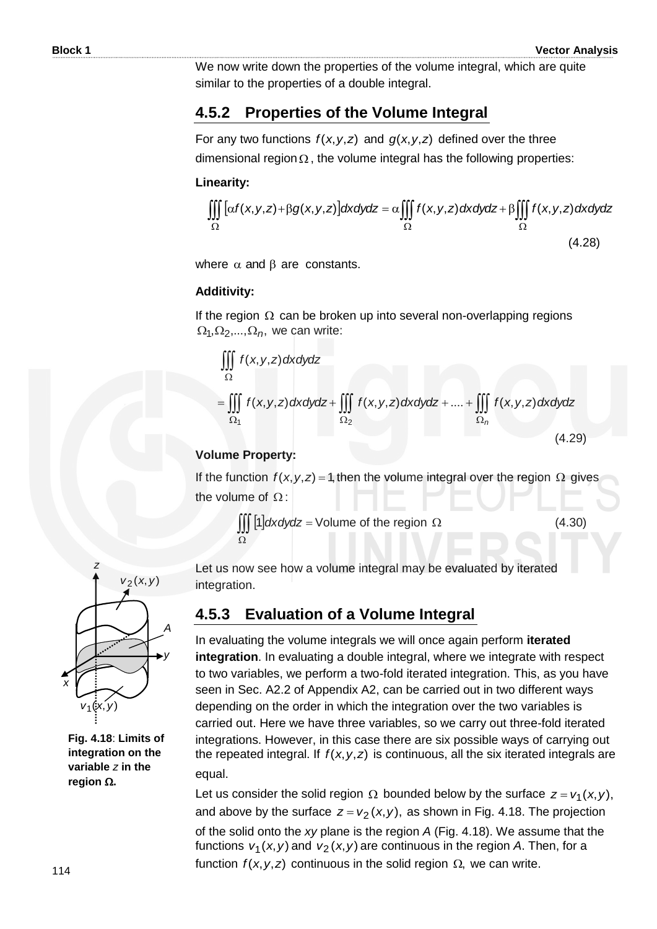We now write down the properties of the volume integral, which are quite similar to the properties of a double integral.

#### **4.5.2 Properties of the Volume Integral**

For any two functions  $f(x, y, z)$  and  $g(x, y, z)$  defined over the three dimensional region  $\Omega$ , the volume integral has the following properties:

#### **Linearity:**

$$
\iiint_{\Omega} \left[ \alpha f(x, y, z) + \beta g(x, y, z) \right] dxdydz = \alpha \iiint_{\Omega} f(x, y, z) dxdydz + \beta \iiint_{\Omega} f(x, y, z) dxdydz
$$
\n(4.28)

where  $\alpha$  and  $\beta$  are constants.

#### **Additivity:**

If the region  $\Omega$  can be broken up into several non-overlapping regions  $\Omega_1, \Omega_2, ..., \Omega_n$ , we can write:

$$
\iiint_{\Omega} f(x, y, z) dx dy dz
$$
\n
$$
= \iiint_{\Omega_1} f(x, y, z) dx dy dz + \iiint_{\Omega_2} f(x, y, z) dx dy dz + .... + \iiint_{\Omega_n} f(x, y, z) dx dy dz
$$
\n(4.29)

#### **Volume Property:**

If the function  $f(x, y, z) = 1$ , then the volume integral over the region  $\Omega$  gives the volume of  $\Omega$ :

$$
\iiint_{\Omega} [1] dxdydz = \text{Volume of the region } \Omega \tag{4.30}
$$

 $v_2(x, y)$ *y A z x*  $v_1(x, y)$ 

**Fig. 4.18**: **Limits of integration on the variable** *z* **in the region**  $\Omega$ .

Let us now see how a volume integral may be evaluated by iterated integration.

### **4.5.3 Evaluation of a Volume Integral**

In evaluating the volume integrals we will once again perform **iterated integration**. In evaluating a double integral, where we integrate with respect to two variables, we perform a two-fold iterated integration. This, as you have seen in Sec. A2.2 of Appendix A2, can be carried out in two different ways depending on the order in which the integration over the two variables is carried out. Here we have three variables, so we carry out three-fold iterated integrations. However, in this case there are six possible ways of carrying out the repeated integral. If  $f(x, y, z)$  is continuous, all the six iterated integrals are equal.

Let us consider the solid region  $\Omega$  bounded below by the surface  $z = v_1(x, y)$ , and above by the surface  $z = v_2(x, y)$ , as shown in Fig. 4.18. The projection of the solid onto the *xy* plane is the region *A* (Fig. 4.18). We assume that the functions  $v_1(x, y)$  and  $v_2(x, y)$  are continuous in the region A. Then, for a function  $f(x, y, z)$  continuous in the solid region  $\Omega$ , we can write.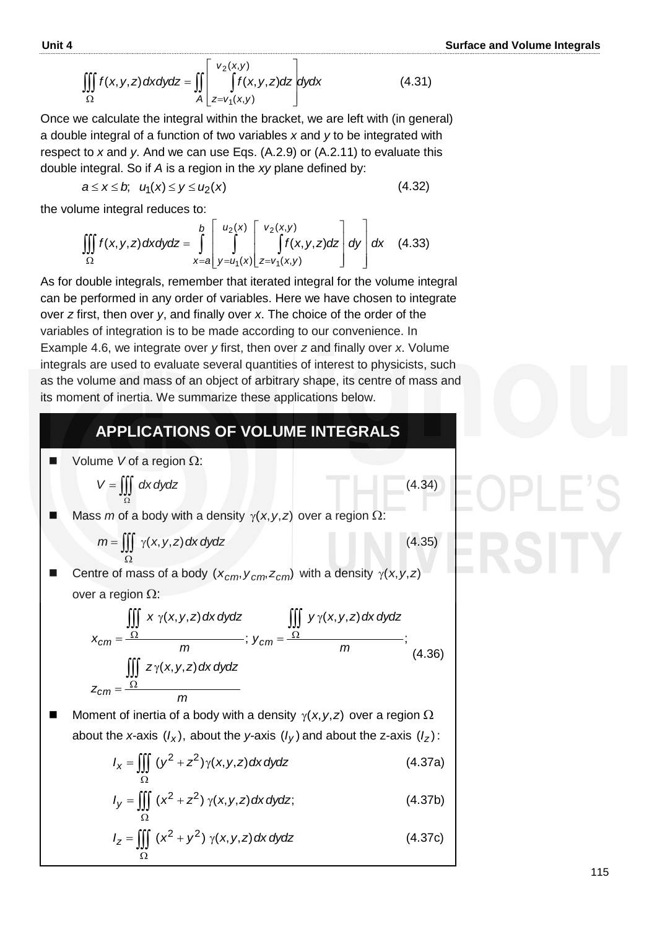$$
\iiint_{\Omega} f(x, y, z) dx dy dz = \iint_{A} \left[ \int_{z=v_1(x, y)}^{v_2(x, y)} f(x, y, z) dz \right] dy dx
$$
 (4.31)

Once we calculate the integral within the bracket, we are left with (in general) a double integral of a function of two variables *x* and *y* to be integrated with respect to *x* and *y*. And we can use Eqs. (A.2.9) or (A.2.11) to evaluate this double integral. So if *A* is a region in the *xy* plane defined by:

$$
a \leq x \leq b, \quad u_1(x) \leq y \leq u_2(x) \tag{4.32}
$$

the volume integral reduces to:

$$
\text{time integral reduces to:}
$$
\n
$$
\iiint_{\Omega} f(x, y, z) \, dx \, dy \, dz = \int_{x=a}^{b} \left[ \int_{y=u_1(x)}^{u_2(x)} \left[ \int_{z=v_1(x,y)}^{v_2(x,y)} f(x, y, z) \, dz \right] dy \right] dx \quad (4.33)
$$

As for double integrals, remember that iterated integral for the volume integral can be performed in any order of variables. Here we have chosen to integrate over *z* first, then over *y*, and finally over *x*. The choice of the order of the variables of integration is to be made according to our convenience. In Example 4.6, we integrate over *y* first, then over *z* and finally over *x*. Volume integrals are used to evaluate several quantities of interest to physicists, such as the volume and mass of an object of arbitrary shape, its centre of mass and its moment of inertia. We summarize these applications below.

### **APPLICATIONS OF VOLUME INTEGRALS**

| Volume V of a region Ω:                                                                               |                                             |         |         |
|-------------------------------------------------------------------------------------------------------|---------------------------------------------|---------|---------|
| $V = \iiint_{\Omega} dx dydz$                                                                         | (4.34)                                      |         |         |
| Mass <i>m</i> of a body with a density $\gamma(x, y, z)$ over a region Ω:                             |                                             |         |         |
| $m = \iiint_{\Omega} \gamma(x, y, z) dx dydz$                                                         | (4.35)                                      |         |         |
| Centre of mass of a body $(x_{cm}, y_{cm}, z_{cm})$ with a density $\gamma(x, y, z)$ over a region Ω: |                                             |         |         |
| $\iiint_{\Omega} x \gamma(x, y, z) dx dydz$                                                           | $\iiint_{\Omega} y \gamma(x, y, z) dx dydz$ |         |         |
| $x_{cm} = \frac{\Omega}{m}$                                                                           | $\dots$                                     | $\dots$ |         |
| $\iiint_{\Omega} z \gamma(x, y, z) dx dydz$                                                           | $\dots$                                     | $\dots$ | $\dots$ |
| $\iiint_{\Omega} z \gamma(x, y, z) dx dydz$                                                           | $\dots$                                     | $\dots$ | $\dots$ |
| $z_{cm} = \frac{\Omega}{m}$                                                                           | $\dots$                                     | $\dots$ | $\dots$ |

**Moment of inertia of a body with a density**  $\gamma(x, y, z)$  **over a region**  $\Omega$ about the *x*-axis  $(I_x)$ , about the *y*-axis  $(I_y)$  and about the z-axis  $(I_z)$ :

$$
I_x = \iiint_{\Omega} (y^2 + z^2) \gamma(x, y, z) dx dy dz
$$
 (4.37a)

$$
I_y = \iiint_{\Omega} (x^2 + z^2) \gamma(x, y, z) dx dy dz;
$$
 (4.37b)

$$
I_z = \iiint_{\Omega} (x^2 + y^2) \gamma(x, y, z) dx dy dz
$$
 (4.37c)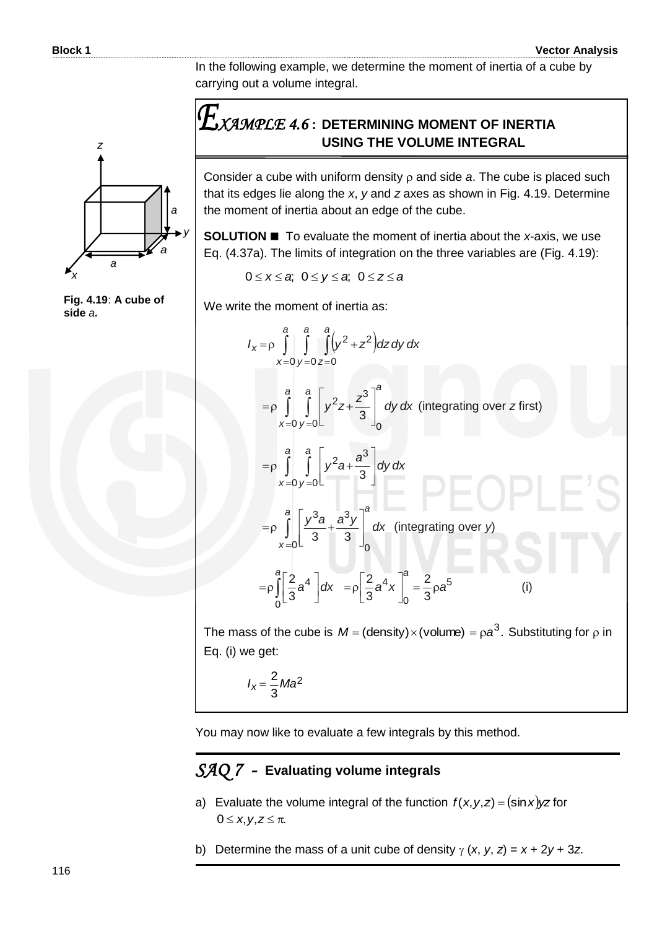In the following example, we determine the moment of inertia of a cube by carrying out a volume integral.

## *XAMPLE 4.6* **: DETERMINING MOMENT OF INERTIA USING THE VOLUME INTEGRAL**

Consider a cube with uniform density  $\rho$  and side  $a$ . The cube is placed such that its edges lie along the *x*, *y* and *z* axes as shown in Fig. 4.19. Determine the moment of inertia about an edge of the cube.

**SOLUTION ■** To evaluate the moment of inertia about the *x*-axis, we use Eq. (4.37a). The limits of integration on the three variables are (Fig. 4.19):

 $0 \le x \le a$ ;  $0 \le y \le a$ ;  $0 \le z \le a$ 

We write the moment of inertia as:  
\n
$$
I_{x} = \rho \int_{x=0}^{a} \int_{y=0}^{a} \int_{z=0}^{a} (y^{2} + z^{2}) dz dy dx
$$
\n
$$
= \rho \int_{x=0}^{a} \int_{y=0}^{a} \left[ y^{2}z + \frac{z^{3}}{3} \right]_{0}^{a} dy dx \text{ (integrating over z first)}
$$
\n
$$
= \rho \int_{x=0}^{a} \int_{y=0}^{a} \left[ y^{2}a + \frac{a^{3}}{3} \right] dy dx
$$
\n
$$
= \rho \int_{x=0}^{a} \left[ \frac{y^{3}a}{3} + \frac{a^{3}y}{3} \right]_{0}^{a} dx \text{ (integrating over y)}
$$
\n
$$
= \rho \int_{0}^{a} \left[ \frac{2}{3}a^{4} \right] dx = \rho \left[ \frac{2}{3}a^{4}x \right]_{0}^{a} = \frac{2}{3}\rho a^{5} \qquad (i)
$$

The mass of the cube is  $M = (density) \times (volume) = \rho a^3$ . Substituting for  $\rho$  in Eq. (i) we get:

$$
I_x = \frac{2}{3}Ma^2
$$

You may now like to evaluate a few integrals by this method.

#### *SAQ 7 -* **Evaluating volume integrals**

- a) Evaluate the volume integral of the function  $f(x, y, z) = (\sin x) yz$  for  $0 \leq x, y, z \leq \pi$ .
- b) Determine the mass of a unit cube of density  $\gamma$  (*x*, *y*, *z*) =  $x + 2y + 3z$ .



**Fig. 4.19**: **A cube of side** *a.*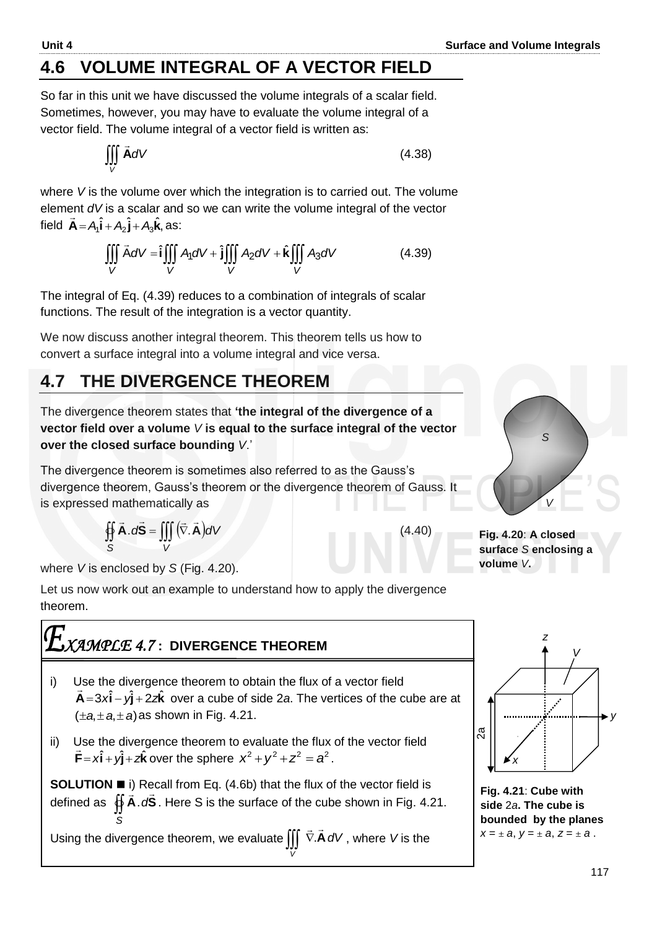# **4.6 VOLUME INTEGRAL OF A VECTOR FIELD**

So far in this unit we have discussed the volume integrals of a scalar field. Sometimes, however, you may have to evaluate the volume integral of a vector field. The volume integral of a vector field is written as:

$$
\iiint\limits_V \vec{A}dV \tag{4.38}
$$

where *V* is the volume over which the integration is to carried out. The volume element *dV* is a scalar and so we can write the volume integral of the vector  $\alpha$ ,  $\beta$  and  $\beta$ field  $\vec{A} = A_1 \hat{i} + A_2 \hat{j} + A_3 \hat{k}$ , as:

$$
+ A_2 \hat{\mathbf{j}} + A_3 \hat{\mathbf{k}}, \text{ as:}
$$
  

$$
\iiint_V \vec{A} dV = \hat{\mathbf{i}} \iiint_V A_1 dV + \hat{\mathbf{j}} \iiint_V A_2 dV + \hat{\mathbf{k}} \iiint_V A_3 dV
$$
 (4.39)

The integral of Eq. (4.39) reduces to a combination of integrals of scalar functions. The result of the integration is a vector quantity.

We now discuss another integral theorem. This theorem tells us how to convert a surface integral into a volume integral and vice versa.

# **4.7 THE DIVERGENCE THEOREM**

The divergence theorem states that **'the integral of the divergence of a vector field over a volume** *V* **is equal to the surface integral of the vector over the closed surface bounding** *V*.'

The divergence theorem is sometimes also referred to as the Gauss's divergence theorem, Gauss's theorem or the divergence theorem of Gauss. It is expressed mathematically as

$$
\oiint_{S} \vec{A} \cdot d\vec{S} = \iiint_{V} (\vec{\nabla} \cdot \vec{A}) dV
$$
\n(4.40)

where *V* is enclosed by *S* (Fig. 4.20).

Let us now work out an example to understand how to apply the divergence theorem.

# *XAMPLE 4.7* **: DIVERGENCE THEOREM**

- i) Use the divergence theorem to obtain the flux of a vector field  $\vec{A} = 3x\hat{i} - y\hat{j} + 2z\hat{k}$  over a cube of side 2*a*. The vertices of the cube are at  $(\pm a, \pm a, \pm a)$  as shown in Fig. 4.21.
- ii) Use the divergence theorem to evaluate the flux of the vector field  $\vec{F} = x\hat{i} + y\hat{j} + z\hat{k}$  over the sphere  $x^2 + y^2 + z^2 = a^2$ .

**SOLUTION i**) Recall from Eq. (4.6b) that the flux of the vector field is defined as  $\oint \vec{A} \cdot d\vec{S}$ . Here S is the surface of the cube shown in Fig. 4.21. *S*

Using the divergence theorem, we evaluate **A***dV*  $\pm$   $\pm$ A dV, where V is the

*V*



**Fig. 4.20**: **A closed surface** *S* **enclosing a volume** *V***.**



**Fig. 4.21**: **Cube with side** 2*a***. The cube is bounded by the planes**   $X = \pm a, y = \pm a, z = \pm a$ .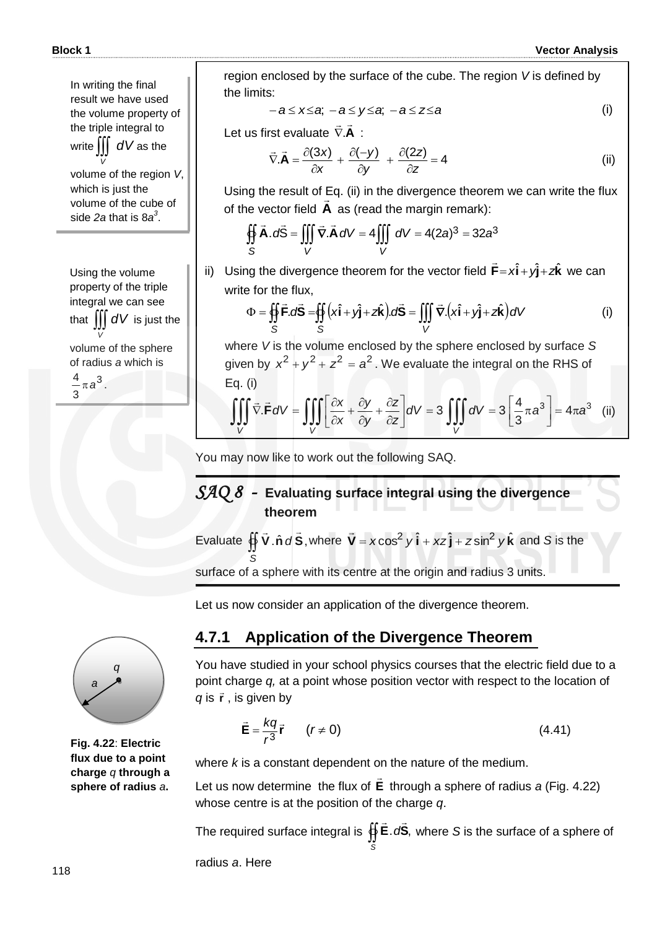In writing the final result we have used the volume property of the triple integral to write *dV* as the *V*

volume of the region *V*, which is just the volume of the cube of side *2a* that is 8*a 3* .

Using the volume property of the triple integral we can see that  $\iiint dV$  is just the *V* volume of the sphere of radius *a* which is 3

3  $\frac{4}{3}$   $\pi a^3$ .



$$
-a \leq x \leq a, \ -a \leq y \leq a, \ -a \leq z \leq a \tag{i}
$$

Let us first evaluate **A**  $\geq$   $\geq$  $\nabla . \mathsf{A}$ :

$$
\vec{\nabla}.\vec{\mathbf{A}} = \frac{\partial(3x)}{\partial x} + \frac{\partial(-y)}{\partial y} + \frac{\partial(2z)}{\partial z} = 4
$$
 (ii)

Using the result of Eq. (ii) in the divergence theorem we can write the flux of the vector field **A** as (read the margin remark):

$$
\oiint_{S} \vec{A} \cdot d\vec{S} = \iiint_{V} \vec{\nabla} \cdot \vec{A} \, dV = 4 \iiint_{V} dV = 4(2a)^{3} = 32a^{3}
$$

ii) Using the divergence theorem for the vector field  $\vec{\mathsf{F}} = x\hat{\mathsf{i}} + y\hat{\mathsf{j}} + z\hat{\mathsf{k}}$  $\overline{a}$ we can write for the flux, and the divergence theorem for the vector field  $\vec{F} = x\hat{i} + y\hat{j} + z\hat{k}$  were for the flux,<br>  $\Phi = \oiint_{S} \vec{F} \cdot d\vec{S} = \oiint_{S} (x\hat{i} + y\hat{j} + z\hat{k}) d\vec{S} = \iiint_{V} \vec{\nabla} \cdot (x\hat{i} + y\hat{j} + z\hat{k}) dV$ 

$$
\Phi = \oiint_{S} \vec{F} \cdot d\vec{S} = \oiint_{S} (x\hat{\mathbf{i}} + y\hat{\mathbf{j}} + z\hat{\mathbf{k}}) \cdot d\vec{S} = \iiint_{V} \vec{\nabla} \cdot (x\hat{\mathbf{i}} + y\hat{\mathbf{j}} + z\hat{\mathbf{k}}) dV
$$
 (i)

where *V* is the volume enclosed by the sphere enclosed by surface *S* given by  $x^2 + y^2 + z^2 = a^2$ . We evaluate the integral on the RHS of Eq. (i) where V is the volume enclosed by the sphere enclosed by surfact<br>
given by  $x^2 + y^2 + z^2 = a^2$ . We evaluate the integral on the RHS<br>
Eq. (i)<br>  $\iiint_V \vec{v} \cdot \vec{F} dV = \iiint_V \left[ \frac{\partial x}{\partial x} + \frac{\partial y}{\partial y} + \frac{\partial z}{\partial z} \right] dV = 3 \iiint_V dV = 3 \left[ \frac$ 

$$
\iiint\limits_V \vec{\nabla} \cdot \vec{F} \, dV = \iiint\limits_V \left[ \frac{\partial x}{\partial x} + \frac{\partial y}{\partial y} + \frac{\partial z}{\partial z} \right] dV = 3 \iiint\limits_V dV = 3 \left[ \frac{4}{3} \pi a^3 \right] = 4 \pi a^3 \quad \text{(ii)}
$$

You may now like to work out the following SAQ.

#### *SAQ 8 -* **Evaluating surface integral using the divergence theorem**

Evaluate  $\oint \vec{V} \cdot \hat{n} dS$ ,  $\overline{a}$   $\overline{a}$  $\oint \nabla \cdot \hat{\mathbf{n}} d\vec{\mathbf{S}}$ , where  $\vec{\mathbf{V}} = x\cos^2 y \hat{\mathbf{i}} + xz \hat{\mathbf{j}} + z\sin^2 y \hat{\mathbf{k}}$  $\overline{a}$ and *S* is the

*S* surface of a sphere with its centre at the origin and radius 3 units.

Let us now consider an application of the divergence theorem.

**4.7.1 Application of the Divergence Theorem** 



You have studied in your school physics courses that the electric field due to a point charge *q,* at a point whose position vector with respect to the location of

q is 
$$
\vec{r}
$$
, is given by  
\n
$$
\vec{E} = \frac{kq}{r^3} \vec{r} \qquad (r \neq 0)
$$
\n(4.41)

**Fig. 4.22**: **Electric flux due to a point charge** *q* **through a sphere of radius** *a***.**

where *k* is a constant dependent on the nature of the medium.

Let us now determine the flux of **E**  $\rightarrow$  through a sphere of radius *a* (Fig. 4.22) whose centre is at the position of the charge *q*.

The required surface integral is  $\oint \vec{E} \cdot d\vec{S}$ , *S*  $\frac{1}{2}$   $\frac{1}{2}$ where *S* is the surface of a sphere of

radius *a*. Here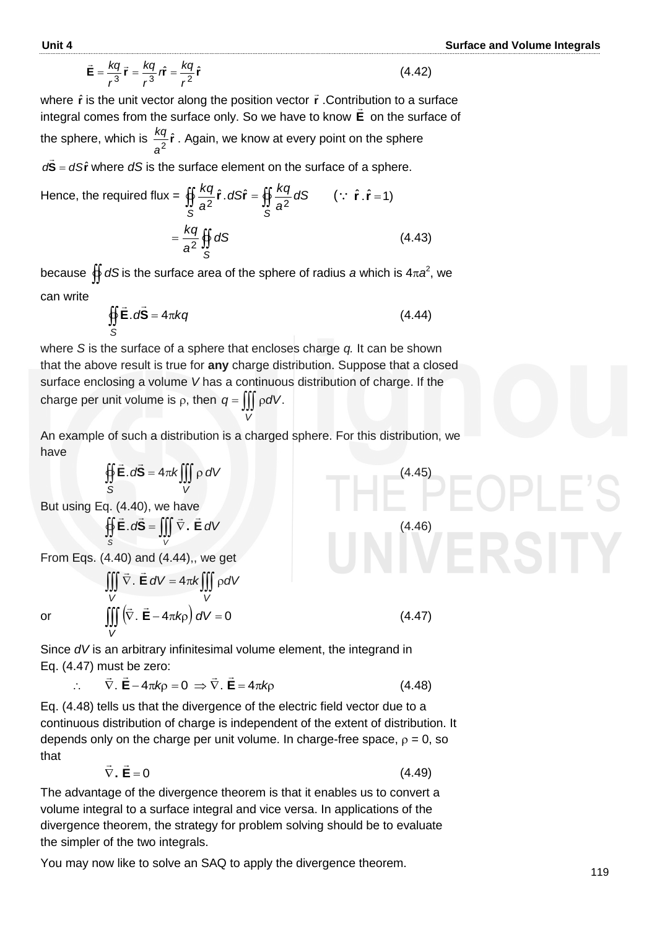$$
\vec{\mathbf{E}} = \frac{kq}{r^3} \vec{\mathbf{r}} = \frac{kq}{r^3} \hat{\mathbf{r}} = \frac{kq}{r^2} \hat{\mathbf{r}}
$$
 (4.42)

where  $\hat{\mathbf{r}}$  is the unit vector along the position vector  $\vec{\mathbf{r}}$  . Contribution to a surface integral comes from the surface only. So we have to know **E** on the surface of the sphere, which is  $\frac{pq}{a^2}\hat{r}$  $\frac{kq}{q}$  $\hat{r}$  . Again, we know at every point on the sphere *dS* = *dS***r**  $\overline{a}$ where *dS* is the surface element on the surface of a sphere.

Hence, the required flux = 
$$
\iint_{S} \frac{kq}{a^2} \hat{r} \cdot dS \hat{r} = \iint_{S} \frac{kq}{a^2} dS \qquad (\because \hat{r} \cdot \hat{r} = 1)
$$

$$
= \frac{kq}{a^2} \iint_{S} dS \qquad (4.43)
$$

because  $\bigoplus_{i=1}^n dS$  is the surface area of the sphere of radius *a* which is 4 $\pi a^2$ , we can write

$$
\oint_{S} \vec{E} \cdot d\vec{S} = 4\pi kq
$$
\n(4.44)

where *S* is the surface of a sphere that encloses charge *q.* It can be shown that the above result is true for **any** charge distribution. Suppose that a closed surface enclosing a volume *V* has a continuous distribution of charge. If the charge per unit volume is  $\rho$ , then  $q = \iiint \rho dV$ . *V*

An example of such a distribution is a charged sphere. For this distribution, we have

(4.45)

(4.47)

$$
\oint_S \vec{E} \cdot d\vec{S} = 4\pi k \iiint_V \rho \, dV
$$

But using Eq. (4.40), we have

$$
\oint_{S} \vec{E} \cdot d\vec{S} = \iiint_{V} \vec{\nabla} \cdot \vec{E} \, dV
$$
\n(4.46)

 $\iiint \vec{\nabla} \cdot \vec{\mathbf{E}} dV = 4\pi k \iiint \rho$ *V V*

 $E dV = 4\pi k$ |||  $\rho dV$ 

From Eqs. (4.40) and (4.44),, we get  $\frac{1}{2}$   $\frac{1}{2}$ 

 $\pm$   $\pm$ 

or 
$$
\iiint_{V} \nabla \cdot \mathbf{E} dV = 4\pi k \iiint_{V} \rho dV
$$
  
or 
$$
\iiint_{V} (\vec{\nabla} \cdot \vec{\mathbf{E}} - 4\pi k \rho) dV = 0
$$

*V* Since *dV* is an arbitrary infinitesimal volume element, the integrand in Eq. (4.47) must be zero:<br> $\vec{r} = \vec{r}$ 

$$
\therefore \quad \vec{\nabla} \cdot \vec{\mathbf{E}} - 4\pi k \rho = 0 \Rightarrow \vec{\nabla} \cdot \vec{\mathbf{E}} = 4\pi k \rho \tag{4.48}
$$

Eq. (4.48) tells us that the divergence of the electric field vector due to a continuous distribution of charge is independent of the extent of distribution. It depends only on the charge per unit volume. In charge-free space,  $\rho = 0$ , so that  $\pm$   $\pm$ 

$$
\vec{\nabla} \cdot \vec{\mathbf{E}} = 0 \tag{4.49}
$$

The advantage of the divergence theorem is that it enables us to convert a volume integral to a surface integral and vice versa. In applications of the divergence theorem, the strategy for problem solving should be to evaluate the simpler of the two integrals.

You may now like to solve an SAQ to apply the divergence theorem.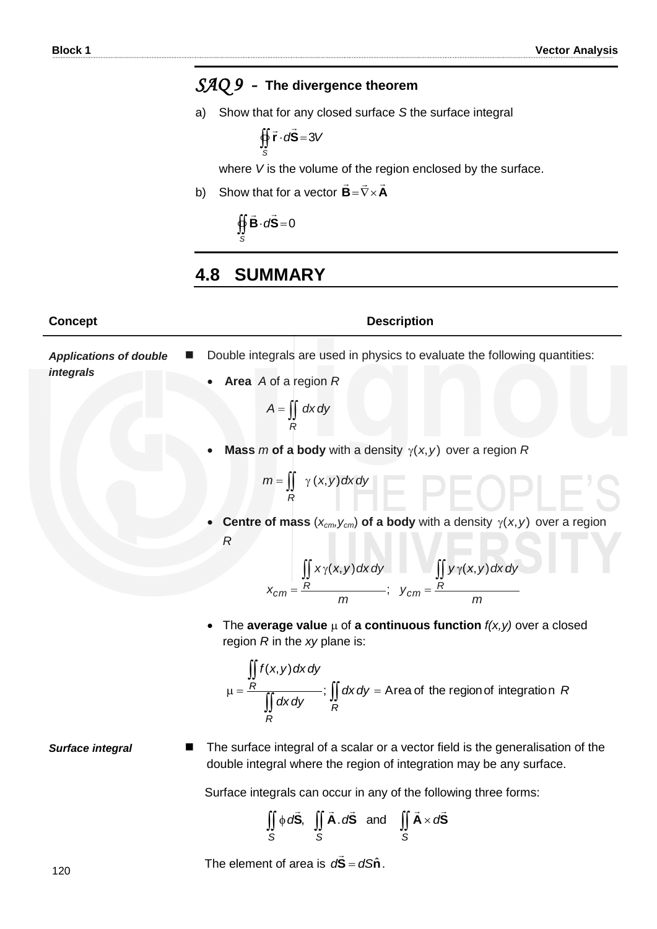# *SAQ 9 -* **The divergence theorem**

a) Show that for any closed surface *S* the surface integral

$$
\oint_{S} \vec{r} \cdot d\vec{S} = 3V
$$

where *V* is the volume of the region enclosed by the surface.

b) Show that for a vector  $B = \nabla \times A$  $\frac{1}{2}$  = 7  $=\nabla\times$ 

> $\oint \vec{B} \cdot d\vec{S} = 0$ *S*  $\overline{z}$   $\overline{z}$

### **4.8 SUMMARY**

#### **Concept Description**

Double integrals are used in physics to evaluate the following quantities:

| <b>Applications of double</b> | Double integrals are used in physics to evaluate the following quantities: |
|-------------------------------|----------------------------------------------------------------------------|
| integrals                     | • Area $A$ of a region $R$                                                 |
|                               | $A = \iint dx dy$                                                          |

• Mass m of a body with a density  $\gamma(x, y)$  over a region R

$$
m = \iint\limits_R \gamma(x, y) dx dy
$$

**Centre of mass**  $(x_{cm}, y_{cm})$  of a body with a density  $\gamma(x, y)$  over a region *R*

$$
x_{cm} = \frac{\iint R x \gamma(x, y) dx dy}{m}; \quad y_{cm} = \frac{R}{m}
$$

• The **average value**  $\mu$  of **a continuous function**  $f(x, y)$  over a closed region *R* in the *xy* plane is:

$$
\mu = \frac{\iint_R f(x, y) dx dy}{\iint_R dx dy}
$$
  $\colon \iint_R dx dy = \text{Area of the region of integration } R$ 

**Surface integral ■** The surface integral of a scalar or a vector field is the generalisation of the double integral where the region of integration may be any surface.

Surface integrals can occur in any of the following three forms:

$$
\iint\limits_{S} \phi \, d\vec{S}, \quad \iint\limits_{S} \vec{A} \cdot d\vec{S} \quad \text{and} \quad \iint\limits_{S} \vec{A} \times d\vec{S}
$$

The element of area is  $d\bar{S} = dS\hat{n}$  $\overline{\phantom{a}}$ .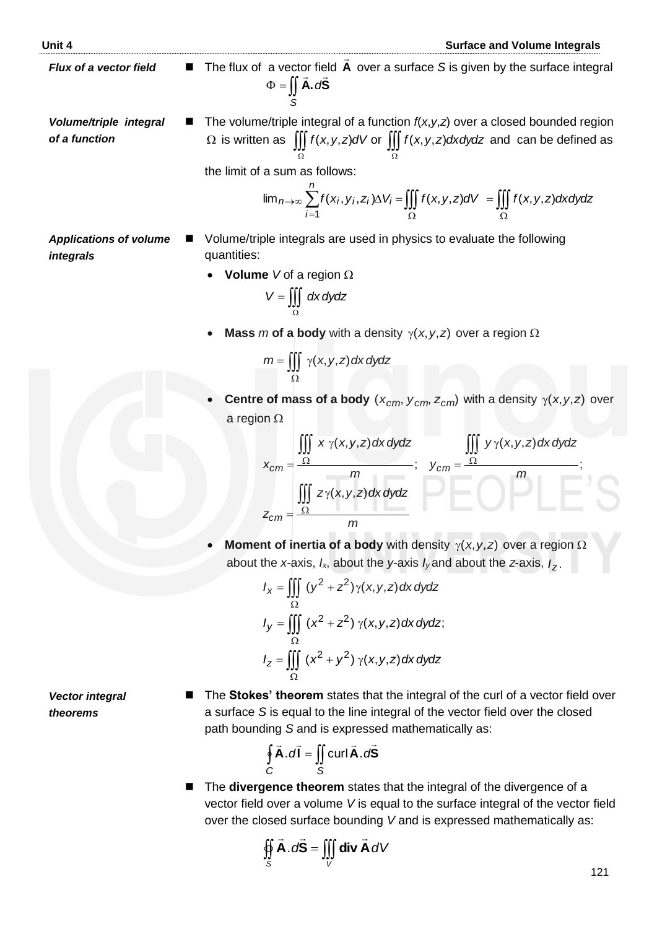- *Flux of a vector field* The flux of a vector field **A** ...<br>= over a surface *S* is given by the surface integral  $\Phi = \iint \mathbf{A} \cdot d\mathbf{S}$  $\frac{1}{2}$   $\frac{1}{2}$
- *Volume/triple integral of a function* The volume/triple integral of a function *f*(*x*,*y*,*z*) over a closed bounded region Ω Ω

the limit of a sum as follows:

*S*

$$
\Omega \text{ is written as } \iiint_{\Omega} f(x, y, z) dV \text{ or } \iiint_{\Omega} f(x, y, z) dx dy dz \text{ and can be defined as}
$$
  
the limit of a sum as follows:  

$$
\lim_{n \to \infty} \sum_{i=1}^{n} f(x_i, y_i, z_i) \Delta V_i = \iiint_{\Omega} f(x, y, z) dV = \iiint_{\Omega} f(x, y, z) dx dy dz
$$

- *Applications of volume integrals* ■ Volume/triple integrals are used in physics to evaluate the following quantities:
	- **Volume** *V* of a region  $\Omega$

$$
V = \iiint_{\Omega} dx dy dz
$$

• Mass *m* of a body with a density  $\gamma(x, y, z)$  over a region  $\Omega$ 

$$
m = \iiint_{\Omega} \gamma(x, y, z) dx dy dz
$$

**Centre of mass of a body**  $(x_{cm}, y_{cm}, z_{cm})$  with a density  $\gamma(x, y, z)$  over a region  $\Omega$ 

$$
x_{cm} = \frac{\iiint\limits_{\Omega} x \gamma(x, y, z) dx dy dz}{m}; \quad y_{cm} = \frac{\iiint\limits_{\Omega} y \gamma(x, y, z) dx dy dz}{m};
$$
  

$$
z_{cm} = \frac{\iiint\limits_{\Omega} z \gamma(x, y, z) dx dy dz}{m}
$$

• **Moment of inertia of a body** with density  $\gamma(x, y, z)$  over a region  $\Omega$ about the *x-*axis, *Ix*, about the *y-*axis *Iy* and about the *z*-axis, *Iz* .

$$
I_x = \iiint_{\Omega} (y^2 + z^2) \gamma(x, y, z) dx dy dz
$$
  
\n
$$
I_y = \iiint_{\Omega} (x^2 + z^2) \gamma(x, y, z) dx dy dz;
$$
  
\n
$$
I_z = \iiint_{\Omega} (x^2 + y^2) \gamma(x, y, z) dx dy dz
$$

*Vector integral theorems*

 The **Stokes' theorem** states that the integral of the curl of a vector field over a surface *S* is equal to the line integral of the vector field over the closed path bounding *S* and is expressed mathematically as:

$$
\oint_C \vec{A} \cdot d\vec{l} = \iint_S \text{curl } \vec{A} \cdot d\vec{S}
$$

■ The **divergence theorem** states that the integral of the divergence of a vector field over a volume *V* is equal to the surface integral of the vector field over the closed surface bounding *V* and is expressed mathematically as:

$$
\oint_{S} \vec{A} \cdot d\vec{S} = \iiint_{V} \text{div } \vec{A} \, dV
$$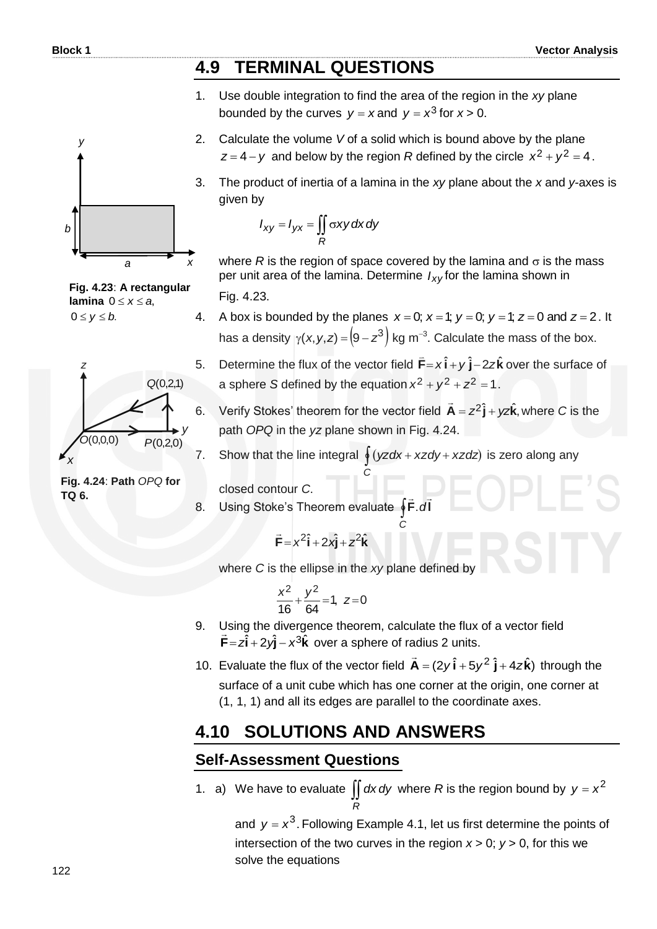*y*

#### **4.9 TERMINAL QUESTIONS**

- 1. Use double integration to find the area of the region in the *xy* plane bounded by the curves  $y = x$  and  $y = x^3$  for  $x > 0$ .
- 2. Calculate the volume *V* of a solid which is bound above by the plane  $z = 4 - y$  and below by the region *R* defined by the circle  $x^2 + y^2 = 4$ .
- 3. The product of inertia of a lamina in the *xy* plane about the *x* and *y-*axes is given by

$$
I_{xy} = I_{yx} = \iint_{R} \sigma xy \, dx \, dy
$$

where  $R$  is the region of space covered by the lamina and  $\sigma$  is the mass per unit area of the lamina. Determine *Ixy* for the lamina shown in

Fig. 4.23.

- 4. A box is bounded by the planes  $x = 0$ ;  $x = 1$ ;  $y = 0$ ;  $y = 1$ ;  $z = 0$  and  $z = 2$ . It A box is bounded by the planes  $x = 0$ ,  $x = 1$ ,  $y = 0$ ,  $y = 1$ ,  $z = 0$  and  $z = 2$ .<br>has a density  $\gamma(x, y, z) = (9 - z^3)$  kg m<sup>-3</sup>. Calculate the mass of the box.
- 5. Determine the flux of the vector field  $\vec{F} = x\hat{i} + y\hat{j} 2z\hat{k}$  $\overline{a}$ over the surface of a sphere S defined by the equation  $x^2 + y^2 + z^2 = 1$ .
- 6. Verify Stokes' theorem for the vector field  $\vec{A} = z^2 \hat{j} + yz\hat{k}$ ,  $\overline{a}$ where *C* is the path *OPQ* in the *yz* plane shown in Fig. 4.24.



*C*

*C*

closed contour *C*.

8. Using Stoke's Theorem evaluate **∮F**.dl  $\pm$   $\pm$ .

$$
\vec{F} = x^2 \hat{i} + 2x\hat{j} + z^2 \hat{k}
$$

where *C* is the ellipse in the *xy* plane defined by

$$
\frac{x^2}{16} + \frac{y^2}{64} = 1, \ z = 0
$$

- 9. Using the divergence theorem, calculate the flux of a vector field  $\vec{F} = z\hat{i} + 2y\hat{j} - x^3\hat{k}$  $\frac{1}{1}$ over a sphere of radius 2 units.
- 10. Evaluate the flux of the vector field  $\vec{A} = (2y \hat{i} + 5y^2 \hat{j} + 4z\hat{k})$  $\overline{a}$  through the surface of a unit cube which has one corner at the origin, one corner at (1, 1, 1) and all its edges are parallel to the coordinate axes.

### **4.10 SOLUTIONS AND ANSWERS**

*R*

#### **Self-Assessment Questions**

1. a) We have to evaluate  $\iint dx dy$  where R is the region bound by  $y = x^2$ 

and  $y = x^3$ . Following Example 4.1, let us first determine the points of intersection of the two curves in the region  $x > 0$ ;  $y > 0$ , for this we solve the equations

**Fig. 4.23**: **A rectangular lamina**  $0 \le x \le a$ ,  $0 \le y \le b$ .



**Fig. 4.24**: **Path** *OPQ* **for TQ 6.**

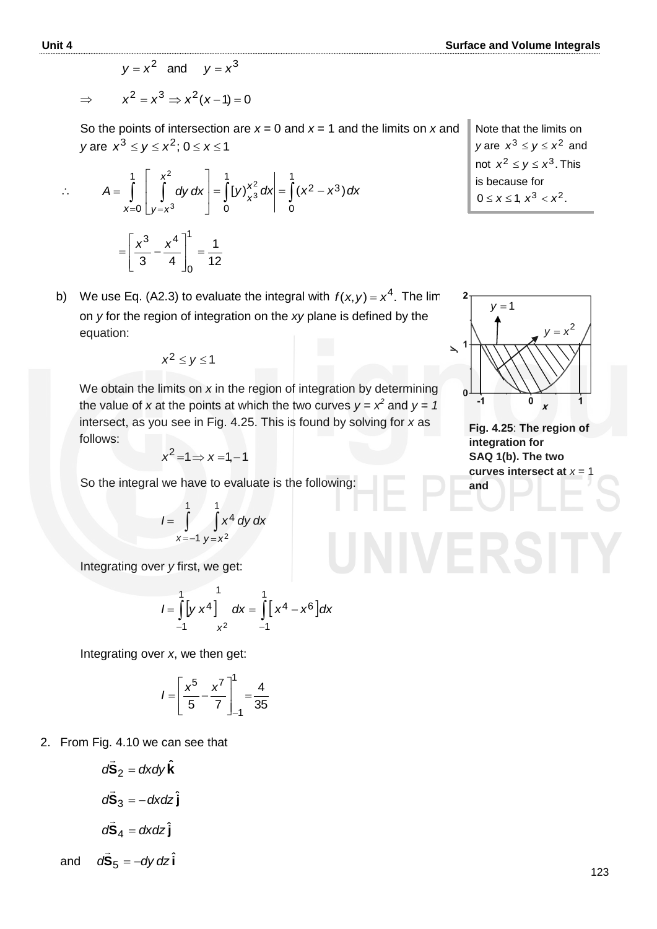$$
\Rightarrow \qquad x^2 = x^3 \Rightarrow x^2(x-1) = 0
$$

So the points of intersection are  $x = 0$  and  $x = 1$  and the limits on  $x$  and *y* are  $x^3 \le y \le x^2$ ; 0  $\le x \le 1$ 

$$
\therefore A = \int_{x=0}^{1} \left[ \int_{y=x^3}^{x^2} dy \, dx \right] = \int_{0}^{1} \left[ y \right]_{x^3}^{x^2} dx = \int_{0}^{1} (x^2 - x^3) \, dx
$$

$$
= \left[ \frac{x^3}{3} - \frac{x^4}{4} \right]_{0}^{1} = \frac{1}{12}
$$

b) We use Eq. (A2.3) to evaluate the integral with  $f(x, y) = x^4$ . The lim on *y* for the region of integration on the *xy* plane is defined by the equation:

$$
x^2 \leq y \leq 1
$$

 We obtain the limits on *x* in the region of integration by determining the value of x at the points at which the two curves  $y = x^2$  and  $y = 1$ intersect, as you see in Fig. 4.25. This is found by solving for *x* as follows:

$$
x^2 = 1 \Rightarrow x = 1, -1
$$

So the integral we have to evaluate is the following:

$$
I = \int_{x=-1}^{1} \int_{y=x^2}^{1} x^4 dy dx
$$

Integrating over *y* first, we get:

$$
I = \int_{-1}^{1} [y x^4]_{x^2}^{1} dx = \int_{-1}^{1} [x^4 - x^6] dx
$$

Integrating over *x*, we then get:

$$
I = \left[\frac{x^5}{5} - \frac{x^7}{7}\right]_{-1}^{1} = \frac{4}{35}
$$

2. From Fig. 4.10 we can see that

$$
d\vec{S}_2 = dxdy\hat{k}
$$

$$
d\vec{S}_3 = -dxdz\hat{j}
$$

$$
d\vec{S}_4 = dxdz\hat{j}
$$

and  $d\vec{\mathbf{S}}_5 = -dy\,dz\hat{\mathbf{i}}$ 

Note that the limits on *y* are  $x^3 \le y \le x^2$  and not  $x^2 \le y \le x^3$ . This is because for  $0 \le x \le 1, x^3 < x^2.$ 



**Fig. 4.25**: **The region of integration for SAQ 1(b). The two curves intersect at**  $x = 1$ **and**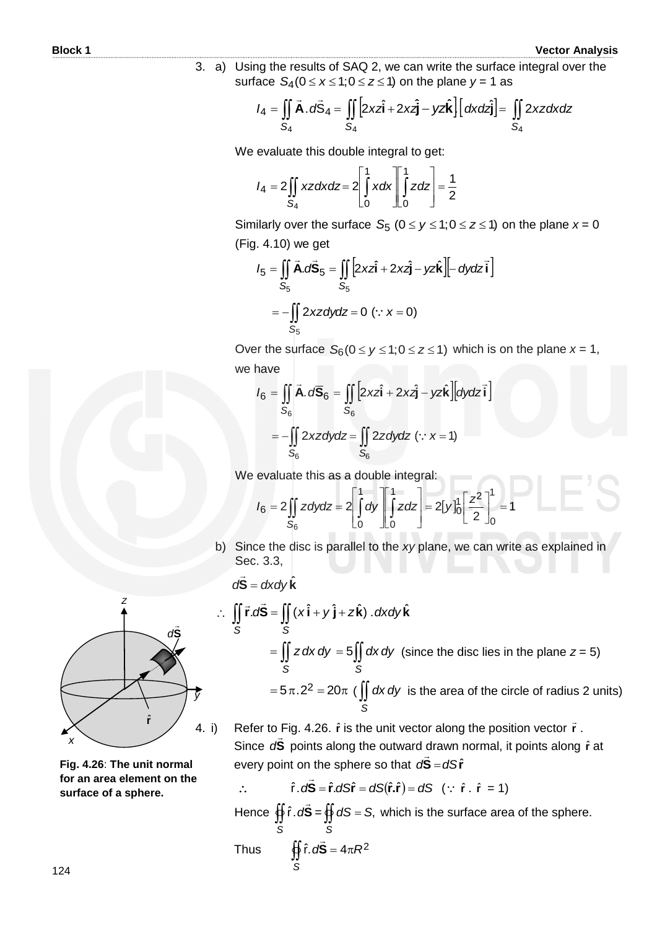3. a) Using the results of SAQ 2, we can write the surface integral over the surface  $S_4$ ( $0 \le x \le 1$ ; $0 \le z \le 1$ ) on the plane  $y = 1$  as

**3.** a) Using the results of SAQ 2, we can write the surface integral over surface 
$$
S_4(0 \le x \le 1; 0 \le z \le 1)
$$
 on the plane  $y = 1$  as\n
$$
I_4 = \iint_{S_4} \vec{A} \cdot d\vec{S}_4 = \iint_{S_4} [2xz\hat{i} + 2xz\hat{j} - yz\hat{k}] \left[ dxdz\hat{j} \right] = \iint_{S_4} 2xzdxdz
$$

We evaluate this double integral to get:

$$
I_4 = 2 \iint\limits_{S_4} xz \, dx \, dz = 2 \left[ \int\limits_{0}^{1} x \, dx \right] \left[ \int\limits_{0}^{1} z \, dz \right] = \frac{1}{2}
$$

Similarly over the surface  $S_5$  ( $0 \le y \le 1; 0 \le z \le 1$ ) on the plane  $x = 0$ <br>(Fig. 4.10) we get<br> $I_5 = \iint_{S_5} \vec{A} \cdot d\vec{S}_5 = \iint_{S_5} [2xz\hat{i} + 2xz\hat{j} - yz\hat{k}] \left[- dydz\hat{i}\right]$ (Fig. 4.10) we get

$$
I_5 = \iint\limits_{S_5} \vec{A} \cdot d\vec{S}_5 = \iint\limits_{S_5} \left[ 2xz\hat{i} + 2xz\hat{j} - yz\hat{k} \right] \left[ - dydz\hat{i} \right]
$$

$$
= -\iint\limits_{S_5} 2xz\,dy\,dz = 0 \ (\because \ x = 0)
$$

Over the surface  $S_6 (0 \le y \le 1; 0 \le z \le 1)$  which is on the plane  $x = 1$ ,<br>we have<br> $I_6 = \iint_{S_6} \vec{A} \cdot d\vec{S}_6 = \iint_{S_6} [2xz\hat{i} + 2xz\hat{j} - yz\hat{k}][dydz\vec{i}]$ we have

$$
I_6 = \iint_{S_6} \vec{A} \cdot d\vec{S}_6 = \iint_{S_6} \left[ 2xz\hat{i} + 2xz\hat{j} - yz\hat{k} \right] \left[ dydz\hat{i} \right]
$$

$$
= -\iint_{S_6} 2xz\,dy\,dz = \iint_{S_6} 2z\,dy\,dz \quad (\because x = 1)
$$

We evaluate this as a double integral:  
\n
$$
I_6 = 2 \iint_{S_6} z \, dy \, dz = 2 \left[ \int_0^1 dy \right]_0^1 z \, dz = 2 \left[ y \right]_0^1 \left[ \frac{z^2}{2} \right]_0^1 = 1
$$

b) Since the disc is parallel to the *xy* plane, we can write as explained in Sec. 3.3,

$$
d\vec{S} = dxdy\hat{k}
$$

ˆ

$$
d\vec{S} = dxdy'\kappa
$$
  
\n
$$
\therefore \iint_{S} \vec{r} \cdot d\vec{S} = \iint_{S} (x\hat{i} + y\hat{j} + z\hat{k}) \cdot dxdy\hat{k}
$$
  
\n
$$
= \iint_{S} z dx dy = 5 \iint_{S} dx dy \text{ (since the disc lies in the plane } z = 5)
$$
  
\n
$$
= 5\pi.2^{2} = 20\pi \text{ (If } dx dy \text{ is the area of the circle of radius 2 units)}
$$

4. i) Refer to Fig. 4.26.  $\hat{r}$  is the unit vector along the position vector  $\vec{r}$ . Since d**S** points along the outward drawn normal, it points along  $\hat{r}$  at every point on the sphere so that  $d\tilde{\mathbf{S}} = d\mathbf{S}\hat{\mathbf{r}}$ 

$$
\hat{\mathbf{r}} \cdot d\vec{\mathbf{S}} = \hat{\mathbf{r}} \cdot dS\hat{\mathbf{r}} = dS(\hat{\mathbf{r}}.\hat{\mathbf{r}}) = dS \quad (\because \hat{\mathbf{r}} \cdot \hat{\mathbf{r}} = 1)
$$

Hence **∯** *S d***S**  $\overline{z}$  $\hat{r} \cdot d\vec{S} = \oiint dS$ *S*  $dS = S$ , which is the surface area of the sphere.  $\overline{z}$ 

Thus 
$$
\oint_{S} \hat{r} \cdot d\vec{S} = 4\pi R^2
$$



**Fig. 4.26**: **The unit normal for an area element on the surface of a sphere.**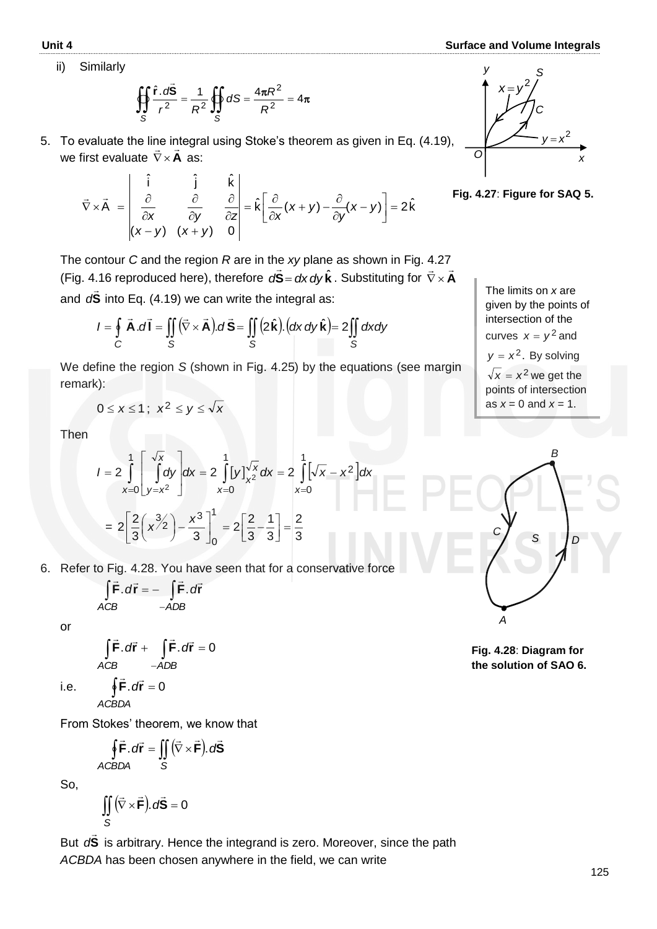#### **Unit 4 Surface and Volume Integrals**

ii) Similarly

$$
\oiint_{S} \frac{\hat{\mathbf{r}} \cdot d\vec{\mathbf{S}}}{r^2} = \frac{1}{R^2} \oiint_{S} dS = \frac{4\pi R^2}{R^2} = 4\pi
$$

5. To evaluate the line integral using Stoke's theorem as given in Eq. (4.19), we first evaluate  $\nabla \times \mathbf{A}$  as:

$$
\vec{\nabla} \times \vec{A} = \begin{vmatrix} \hat{i} & \hat{j} & \hat{k} \\ \frac{\partial}{\partial x} & \frac{\partial}{\partial y} & \frac{\partial}{\partial z} \\ (x - y) & (x + y) & 0 \end{vmatrix} = \hat{k} \left[ \frac{\partial}{\partial x} (x + y) - \frac{\partial}{\partial y} (x - y) \right] = 2 \hat{k}
$$



**Fig. 4.27**: **Figure for SAQ 5.**

The contour *C* and the region *R* are in the *xy* plane as shown in Fig. 4.27 (Fig. 4.16 reproduced here), therefore  $d\vec{S} = dx dy \hat{k}$ . Substituting for  $\vec{\nabla} \times \vec{A}$  $\frac{1.27}{2}$ (Fig. 4.16 reproduced here), therefore  $d\vec{S} = dx dy \hat{k}$ . Substituting for  $\vec{\nabla} \times$ <br>and  $d\vec{S}$  into Eq. (4.19) we can write the integral as:<br> $I = \oint \vec{A} \cdot d\vec{l} = \iint_S (\vec{\nabla} \times \vec{A}) \cdot d\vec{S} = \iint_S (2\hat{k}) \cdot (dx dy \hat{k}) = 2 \iint_S dx dy$ and **S**  $\overline{a}$ d<sup>S</sup> into Eq. (4.19) we can write the integral as:

$$
I = \oint_{C} \vec{A} \cdot d\vec{l} = \iint_{S} (\vec{\nabla} \times \vec{A}) \cdot d\vec{S} = \iint_{S} (2\hat{k}) \cdot (dx \, dy \, \hat{k}) = 2 \iint_{S} dx dy
$$

We define the region *S* (shown in Fig. 4.25) by the equations (see margin remark):

$$
0 \le x \le 1; \ \ x^2 \le y \le \sqrt{x}
$$

Then

Then  
\n
$$
I = 2 \int_{x=0}^{1} \int_{y=x^{2}}^{\sqrt{x}} dy dx = 2 \int_{x=0}^{1} [y]_{x^{2}}^{\sqrt{x}} dx = 2 \int_{x=0}^{1} [\sqrt{x} - x^{2}] dx
$$
\n
$$
= 2 \left[ \frac{2}{3} (x^{3/2}) - \frac{x^{3}}{3} \right]_{0}^{1} = 2 \left[ \frac{2}{3} - \frac{1}{3} \right] = \frac{2}{3}
$$

6. Refer to Fig. 4.28. You have seen that for a conservative force

$$
\int \vec{F} \cdot d\vec{r} = -\int \vec{F} \cdot d\vec{r}
$$
  
ACB -ADB

or

$$
\int \vec{F} \cdot d\vec{r} + \int \vec{F} \cdot d\vec{r} = 0
$$
  
ACB -ADB

 i.e. *ACBDA*

From Stokes' theorem, we know that

 $\oint \vec{F} \cdot d\vec{r} = 0$ 

$$
\oint \vec{F} \cdot d\vec{r} = \iint (\vec{\nabla} \times \vec{F}) \cdot d\vec{S}
$$
  
ACBDA S

So,

$$
\iint_{S} (\vec{\nabla} \times \vec{\mathbf{F}}). d\vec{\mathbf{S}} = 0
$$

But **S**  $\overline{a}$ d<sup>S</sup> is arbitrary. Hence the integrand is zero. Moreover, since the path *ACBDA* has been chosen anywhere in the field, we can write





**Fig. 4.28**: **Diagram for the solution of SAQ 6.**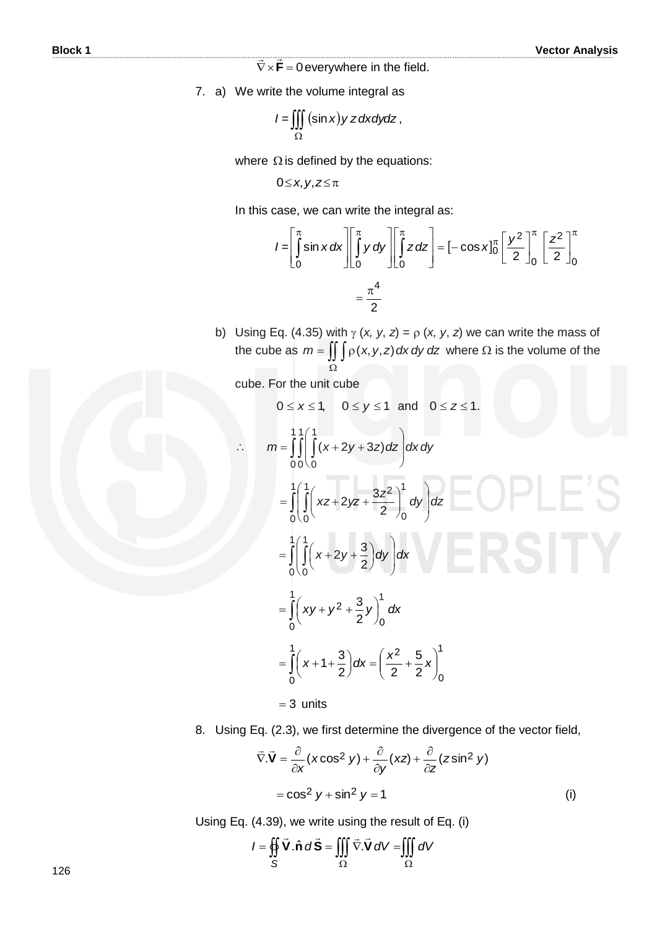$\nabla \times \mathbf{F} = 0$  $\equiv$   $\equiv$ everywhere in the field.

7. a) We write the volume integral as

$$
I = \iiint_{\Omega} (\sin x) y z dx dy dz,
$$

where  $\Omega$  is defined by the equations:

0≤*x*, *y*, *z*≤π

In this case, we can write the integral as:  
\n
$$
I = \left[\int_0^{\pi} \sin x \, dx \right] \left[\int_0^{\pi} y \, dy\right] \left[\int_0^{\pi} z \, dz\right] = [-\cos x]_0^{\pi} \left[\frac{y^2}{2}\right]_0^{\pi} \left[\frac{z^2}{2}\right]_0^{\pi}
$$
\n
$$
= \frac{\pi^4}{2}
$$

b) Using Eq. (4.35) with  $\gamma$  (*x, y, z*) =  $\rho$  (*x, y, z*) we can write the mass of the cube as  $m = \iint p(x, y, z) dx dy dz$  where  $\Omega$  is the volume of the  $\Omega$ 

cube. For the unit cube

0 ≤ x ≤ 1, 0 ≤ y ≤ 1 and 0 ≤ z ≤ 1.  
\n  
\n
$$
m = \int_{0}^{1} \int_{0}^{1} (x + 2y + 3z) dz \, dx dy
$$
\n
$$
= \int_{0}^{1} \left( \int_{0}^{1} (xz + 2yz + \frac{3z^{2}}{2}) \, dy \, dz \right) dz
$$
\n
$$
= \int_{0}^{1} \left( \int_{0}^{1} (x + 2y + \frac{3}{2}) dy \, dy \right) dx
$$
\n
$$
= \int_{0}^{1} \left( xy + y^{2} + \frac{3}{2}y \right) \, dx
$$
\n
$$
= \int_{0}^{1} \left( x + 1 + \frac{3}{2} \right) dx = \left( \frac{x^{2}}{2} + \frac{5}{2}x \right) \, dx
$$
\n= 3 units

8. Using Eq. (2.3), we first determine the divergence of the vector field,

$$
\vec{\nabla} \cdot \vec{V} = \frac{\partial}{\partial x} (x \cos^2 y) + \frac{\partial}{\partial y} (xz) + \frac{\partial}{\partial z} (z \sin^2 y)
$$

$$
= \cos^2 y + \sin^2 y = 1
$$
 (i)

Using Eq. (4.39), we write using the result of Eq. (i)

 $\oiint \vec{V}.\hat{n} d\vec{S} = \iiint \vec{\nabla}.\vec{V} dV = \iiint$  $\Omega$   $\Omega$  $I = \oint \oint \mathbf{V} \cdot \hat{\mathbf{n}} d\mathbf{S} = ||\nabla \cdot \mathbf{V} dV = ||\nabla \cdot \mathbf{V}$ *S* **V**.n̂ d**S** =  $||| \nabla$ **.V**  $\therefore$   $\therefore$   $\therefore$   $\therefore$   $\therefore$   $\therefore$   $\therefore$   $\therefore$   $\therefore$   $\therefore$   $\therefore$   $\therefore$   $\therefore$   $\therefore$   $\therefore$   $\therefore$   $\therefore$   $\therefore$   $\therefore$   $\therefore$   $\therefore$   $\therefore$   $\therefore$   $\therefore$   $\therefore$   $\therefore$   $\therefore$   $\therefore$   $\therefore$   $\therefore$   $\therefore$   $\therefore$   $\therefore$   $\therefore$   $\therefore$   $\therefore$   $\therefore$ . $\hat{\mathsf{n}}$   $d\tilde{\mathsf{S}} = \iiint \vec{\nabla}$ .

126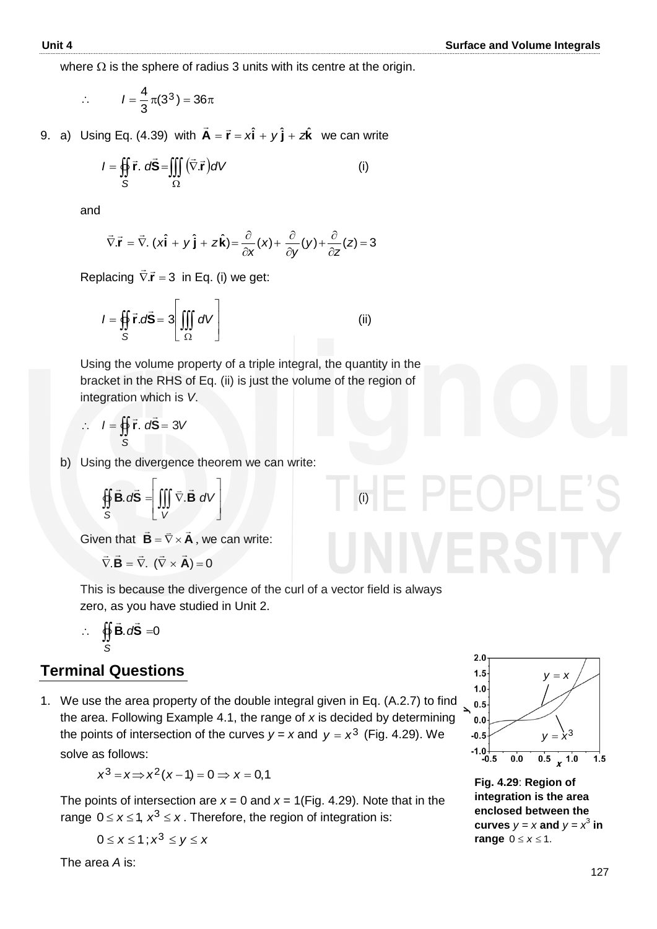where  $\Omega$  is the sphere of radius 3 units with its centre at the origin.

$$
\therefore \qquad l = \frac{4}{3}\pi(3^3) = 36\pi
$$

9. a) Using Eq. (4.39) with  $\vec{A} = \vec{r} = x\hat{i} + y\hat{j} + z\hat{k}$  $\vec{\mathsf{A}} = \vec{\mathsf{r}} = x\hat{\mathsf{i}} + y\hat{\mathsf{j}} + z\hat{\mathsf{k}}$  we can write

$$
I = \oiint_{S} \vec{r} \cdot d\vec{S} = \iiint_{\Omega} (\vec{\nabla} \cdot \vec{r}) dV
$$
 (i)

and

$$
\vec{\nabla}.\vec{r} = \vec{\nabla}.(x\hat{i} + y\hat{j} + z\hat{k}) = \frac{\partial}{\partial x}(x) + \frac{\partial}{\partial y}(y) + \frac{\partial}{\partial z}(z) = 3
$$

Replacing  $\vec{\nabla} \cdot \vec{r} = 3$  in Eq. (i) we get:

$$
I = \oiint_{S} \vec{r} \cdot d\vec{S} = 3 \left[ \iiint_{\Omega} dV \right]
$$
 (ii)

Using the volume property of a triple integral, the quantity in the bracket in the RHS of Eq. (ii) is just the volume of the region of integration which is *V*.

$$
\therefore I = \iint_{S} \vec{r} \cdot d\vec{S} = 3V
$$

b) Using the divergence theorem we can write:

$$
\oiint_{S} \vec{B} \cdot d\vec{S} = \left[ \iiint_{V} \vec{\nabla} \cdot \vec{B} \ dV \right]
$$
 (i)

**Given that**  $\mathbf{B} = \nabla \times \mathbf{A}$  $\frac{1}{2}$  =  $\frac{4}{2}$  $=\bar{\nabla}\times\mathbf{A}$ , we can write:

$$
\vec{\nabla}.\vec{\mathbf{B}} = \vec{\nabla}.\ (\vec{\nabla} \times \vec{\mathbf{A}}) = 0
$$

This is because the divergence of the curl of a vector field is always zero, as you have studied in Unit 2.

$$
\therefore \quad \oint_S \vec{B} \cdot d\vec{S} = 0
$$

#### **Terminal Questions**

1. We use the area property of the double integral given in Eq. (A.2.7) to find the area. Following Example 4.1, the range of *x* is decided by determining the points of intersection of the curves  $y = x$  and  $y = x^3$  (Fig. 4.29). We solve as follows:

$$
x^3 = x \Rightarrow x^2(x-1) = 0 \Rightarrow x = 0,1
$$

The points of intersection are  $x = 0$  and  $x = 1$  (Fig. 4.29). Note that in the range  $0 \le x \le 1$ ,  $x^3 \le x$ . Therefore, the region of integration is:

 $0 \leq x \leq 1$ ;  $x^3 \leq y \leq x$ 

The area *A* is:



**Fig. 4.29**: **Region of integration is the area enclosed between the curves**  $y = x$  and  $y = x^3$  in range  $0 \le x \le 1$ .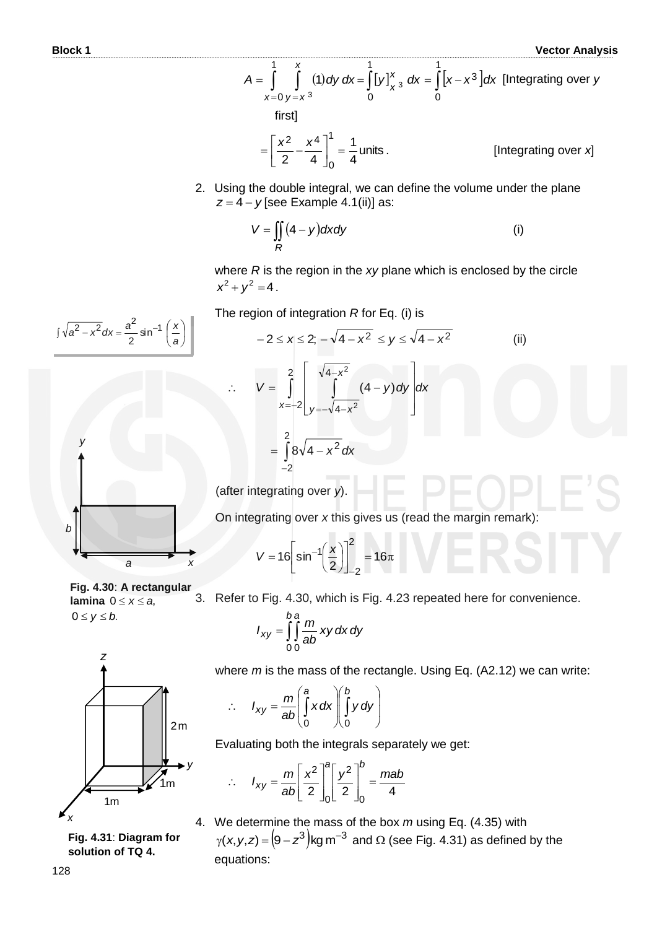Vector Analy  
\n
$$
A = \int_{x=0}^{1} \int_{y=x^3}^{x} (1) dy dx = \int_{0}^{1} [y]_{x^3}^{x} dx = \int_{0}^{1} [x-x^3] dx
$$
 [Integrating over y  
\nfirst]  
\n
$$
= \left[ \frac{x^2}{2} - \frac{x^4}{4} \right]_{0}^{1} = \frac{1}{4}
$$
 units. [Integrating over x]

2. Using the double integral, we can define the volume under the plane *z* = 4 – *y* [see Example 4.1(ii)] as:

$$
V = \iint\limits_R (4 - y) dxdy
$$
 (i)

where *R* is the region in the *xy* plane which is enclosed by the circle  $x^2 + y^2 = 4$ .

$$
\int \sqrt{a^2 - x^2} \, dx = \frac{a^2}{2} \sin^{-1} \left(\frac{x}{a}\right)
$$



The region of integration *R* for Eq. (i) is

$$
-2 \le x \le 2; -\sqrt{4 - x^2} \le y \le \sqrt{4 - x^2}
$$
 (ii)  

$$
\therefore V = \int_{x=-2}^{2} \int_{y=-\sqrt{4 - x^2}}^{\sqrt{4 - x^2}} (4 - y) dy dx
$$

$$
= \int_{-2}^{2} 8\sqrt{4 - x^2} dx
$$

(after integrating over *y*).

On integrating over *x* this gives us (read the margin remark):

$$
V = 16 \left[ \sin^{-1} \left( \frac{x}{2} \right) \right]_{-2}^{2} = 16 \pi
$$

**Fig. 4.30**: **A rectangular lamina**  $0 \le x \le a$ ,  $0 \le y \le b$ .

3. Refer to Fig. 4.30, which is Fig. 4.23 repeated here for convenience.

$$
I_{xy} = \int_{0}^{b} \int_{0}^{b} \frac{m}{ab} xy \, dx \, dy
$$



**Fig. 4.31**: **Diagram for solution of TQ 4.**

where *m* is the mass of the rectangle. Using Eq. (A2.12) we can write:

$$
\therefore I_{xy} = \frac{m}{ab} \left( \int_0^a x \, dx \right) \left( \int_0^b y \, dy \right)
$$

Evaluating both the integrals separately we get:

$$
I_{xy} = \frac{m}{ab} \left[ \frac{x^2}{2} \right]_0^a \left[ \frac{y^2}{2} \right]_0^b = \frac{mab}{4}
$$

 $\cdot$ 

4. We determine the mass of the box *m* using Eq. (4.35) with We determine the mass of the box *m* using Eq. (4.35) with<br> $\gamma$ (*x,y,z*) =  $\left(9 - z^3\right)$ kg m<sup>–3</sup> and Ω (see Fig. 4.31) as defined by the equations: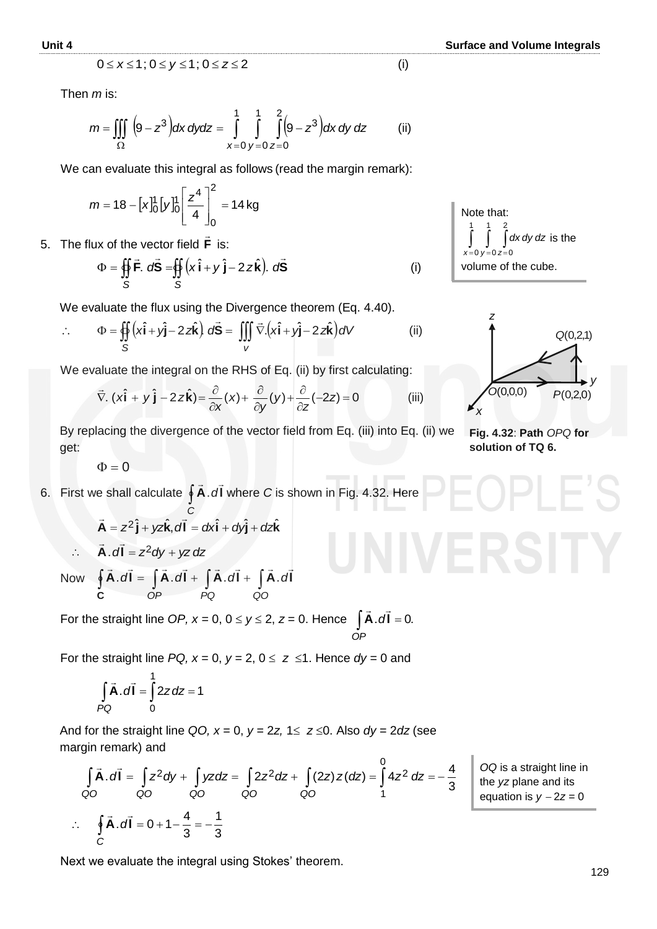$$
0 \leq x \leq 1; 0 \leq y \leq 1; 0 \leq z \leq 2 \tag{i}
$$

Then *m* is:

$$
0 \le x \le 1; 0 \le y \le 1; 0 \le z \le 2
$$
 (i)  
Then *m* is:  

$$
m = \iiint_{\Omega} (9 - z^3) dx dy dz = \int_{x=0}^{1} \int_{y=0}^{1} \int_{z=0}^{2} (9 - z^3) dx dy dz
$$
 (ii)

We can evaluate this integral as follows (read the margin remark):

$$
m = 18 - [x]_0^1 [y]_0^1 \left[\frac{z^4}{4}\right]_0^2 = 14 \text{ kg}
$$

5. The flux of the vector field **F**  $\rightarrow$ is:

$$
\Phi = \oiint_{S} \vec{F} \cdot d\vec{S} = \oiint_{S} (x \hat{i} + y \hat{j} - 2 z \hat{k}). d\vec{S}
$$
 (i)

We evaluate the flux using the Divergence theorem (Eq. 4.40).

$$
\therefore \qquad \Phi = \oiint_{S} \left( x \hat{\mathbf{i}} + y \hat{\mathbf{j}} - 2 z \hat{\mathbf{k}} \right) \, d\vec{\mathbf{S}} = \iiint_{V} \vec{\nabla} \cdot \left( x \hat{\mathbf{i}} + y \hat{\mathbf{j}} - 2 z \hat{\mathbf{k}} \right) dV \tag{ii}
$$

We evaluate the integral on the RHS of Eq. (ii) by first calculating:

$$
\vec{\nabla}.\left(x\hat{\mathbf{i}} + y\,\hat{\mathbf{j}} - 2\,z\hat{\mathbf{k}}\right) = \frac{\partial}{\partial x}(x) + \frac{\partial}{\partial y}(y) + \frac{\partial}{\partial z}(-2z) = 0
$$
 (iii)

By replacing the divergence of the vector field from Eq. (iii) into Eq. (ii) we get:\n
$$
\frac{1}{2} \int_{-\infty}^{\infty} f(x) \, dx
$$

 $\Phi = 0$ 

6. **6.** First we shall calculate **∮ A***.d* **I** *C*  $\frac{1}{2}$   $\frac{1}{2}$ dl where *C* is shown in Fig. 4.32. Here

$$
\vec{A} = z^2 \hat{j} + yz\hat{k}, d\vec{l} = dx\hat{i} + dy\hat{j} + dz\hat{k}
$$

$$
\therefore \vec{A} \cdot d\vec{l} = z^2 dy + yz dz
$$

 Now  $\oint \vec{A} \cdot d\vec{l} = \int \vec{A} \cdot d\vec{l} + \int \vec{A} \cdot d\vec{l} + \int \vec{A} \cdot d\vec{l}$ *OP PQ QO* **C** . $dI = |A.dI + |A.dI + |A.$ 

For the straight line *OP, x* = 0, 0  $\le$  *y*  $\le$  2, *z* = 0. Hence  $\int$  **A***.d***i** = 0. *OP* .<br>5 - *5* 

For the straight line  $PQ$ ,  $x = 0$ ,  $y = 2$ ,  $0 \le z \le 1$ . Hence  $dy = 0$  and

$$
\int_{PQ} \vec{A} \cdot d\vec{l} = \int_{0}^{1} 2z \, dz = 1
$$

And for the straight line *QO, x* = 0, *y* = 2*z*, 1 $\le$  *z*  $\le$ 0. Also *dy* = 2*dz* (see margin remark) and

$$
\int_{QQ} \vec{A} \cdot d\vec{l} = \int_{QQ} z^2 dy + \int_{QQ} yz dz = \int_{QQ} 2z^2 dz + \int_{QQ} (2z) z (dz) = \int_{1}^{Q} 4z^2 dz = -\frac{4}{3}
$$
  
\n
$$
\therefore \oint_{C} \vec{A} \cdot d\vec{l} = 0 + 1 - \frac{4}{3} = -\frac{1}{3}
$$

Next we evaluate the integral using Stokes' theorem.





**Fig. 4.32**: **Path** *OPQ* **for solution of TQ 6.**

*OQ* is a straight line in the *yz* plane and its equation is  $y - 2z = 0$ 

$$
f_{\rm{max}}
$$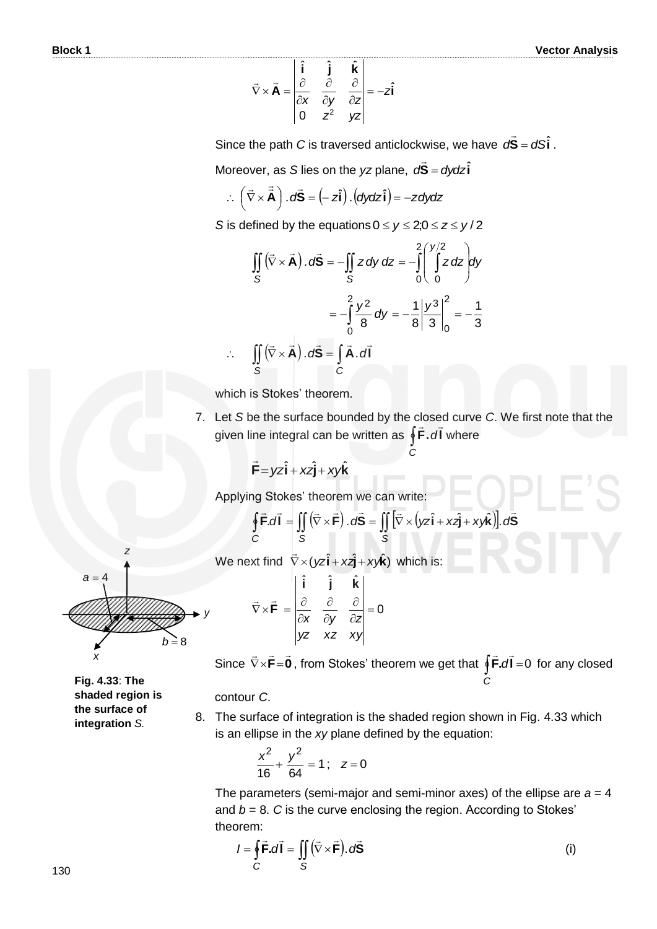$$
\vec{\nabla} \times \vec{\mathbf{A}} = \begin{vmatrix} \hat{\mathbf{i}} & \hat{\mathbf{j}} & \hat{\mathbf{k}} \\ \frac{\partial}{\partial x} & \frac{\partial}{\partial y} & \frac{\partial}{\partial z} \\ 0 & z^2 & yz \end{vmatrix} = -z\hat{\mathbf{i}}
$$

Since the path *C* is traversed anticlockwise, we have  $d\vec{S} = dS\hat{i}$  $\overline{a}$ .

Moreover, as *S* lies on the *yz* plane,  $d\vec{S} = dydz\hat{i}$ 

Moreover, as S lies on the yz plane, 
$$
d\vec{S} = c
$$
  
\n
$$
\therefore (\vec{\nabla} \times \vec{\vec{A}}) \cdot d\vec{S} = (-z\hat{i}) \cdot (dydz\hat{i}) = -zdydz
$$

S is defined by the equations 
$$
0 \le y \le 2; 0 \le z \le y/2
$$
  
\n
$$
\iint_S (\vec{v} \times \vec{A}) \cdot d\vec{S} = -\iint_S z dy dz = -\int_0^2 \left( \int_0^{y/2} z dz \right) dy
$$
\n
$$
= -\int_0^2 \frac{y^2}{8} dy = -\frac{1}{8} \left| \frac{y^3}{3} \right|_0^2 = -\frac{1}{3}
$$
\n
$$
\therefore \iint_S (\vec{v} \times \vec{A}) \cdot d\vec{S} = \int_C \vec{A} \cdot d\vec{l}
$$

which is Stokes' theorem.

 $\mathcal{L}_{\bullet}$ 

7. Let *S* be the surface bounded by the closed curve *C*. We first note that the given line integral can be written as  $\oint \vec{F} \cdot d\vec{l}$  $\frac{1}{2}$   $\frac{1}{2}$ where

*C*

$$
\vec{F} = yz\hat{i} + xz\hat{j} + xy\hat{k}
$$

Applying Stokes' theorem we can write:

$$
\mathbf{F} = \mathbf{y} \mathbf{z} \mathbf{I} + \mathbf{x} \mathbf{z} \mathbf{J} + \mathbf{x} \mathbf{y} \mathbf{k}
$$
\nApplying Stokes' theorem we can write:

\n
$$
\oint_C \vec{\mathbf{F}} \cdot d\vec{\mathbf{l}} = \iint_S (\vec{\nabla} \times \vec{\mathbf{F}}) \cdot d\vec{\mathbf{S}} = \iint_S [\vec{\nabla} \times (\mathbf{y} \mathbf{z} \hat{\mathbf{i}} + \mathbf{x} \mathbf{z} \hat{\mathbf{j}} + \mathbf{x} \mathbf{y} \hat{\mathbf{k}})]. \, d\vec{\mathbf{S}}
$$

We next find  $\vec{\nabla} \times (yz\hat{\mathbf{i}} + x\hat{\mathbf{j}} + x\hat{\mathbf{k}})$ L which is:



*z*

0 ˆˆˆ  $=$  $\hat{c}$  $\partial$  $\partial$  $\partial$  $\hat{o}$  $\vec{\nabla} \times \vec{\mathbf{F}} = \begin{bmatrix} \frac{\partial}{\partial \mathbf{F}} & \frac{\partial}{\partial \mathbf{F}} & \frac{\partial}{\partial \mathbf{F}} & \frac{\partial}{\partial \mathbf{F}} \end{bmatrix}$ *yz xyxz y*z ∂y ∂z **kji F**  $\pm$   $\pm$ 

Since  $\nabla \times \mathbf{F} = \mathbf{0}$  $\pm$   $\pm$   $\pm$  $\vec{\nabla}\times\vec{\mathsf{F}}=\vec{\mathsf{0}}$  , from Stokes' theorem we get that  $\oint\vec{\mathsf{F}}.\vec{d\mathsf{l}}=0$ *C*  $\rightarrow$   $\rightarrow$ for any closed

#### contour *C*.

*y*

8. The surface of integration is the shaded region shown in Fig. 4.33 which is an ellipse in the *xy* plane defined by the equation:

$$
\frac{x^2}{16} + \frac{y^2}{64} = 1 \, ; \quad z = 0
$$

The parameters (semi-major and semi-minor axes) of the ellipse are *a* = 4 and  $b = 8$ .  $C$  is the curve enclosing the region. According to Stokes' theorem:

$$
I = \oint_C \vec{F} \cdot d\vec{l} = \iint_S (\vec{\nabla} \times \vec{F}) \cdot d\vec{S}
$$
 (i)